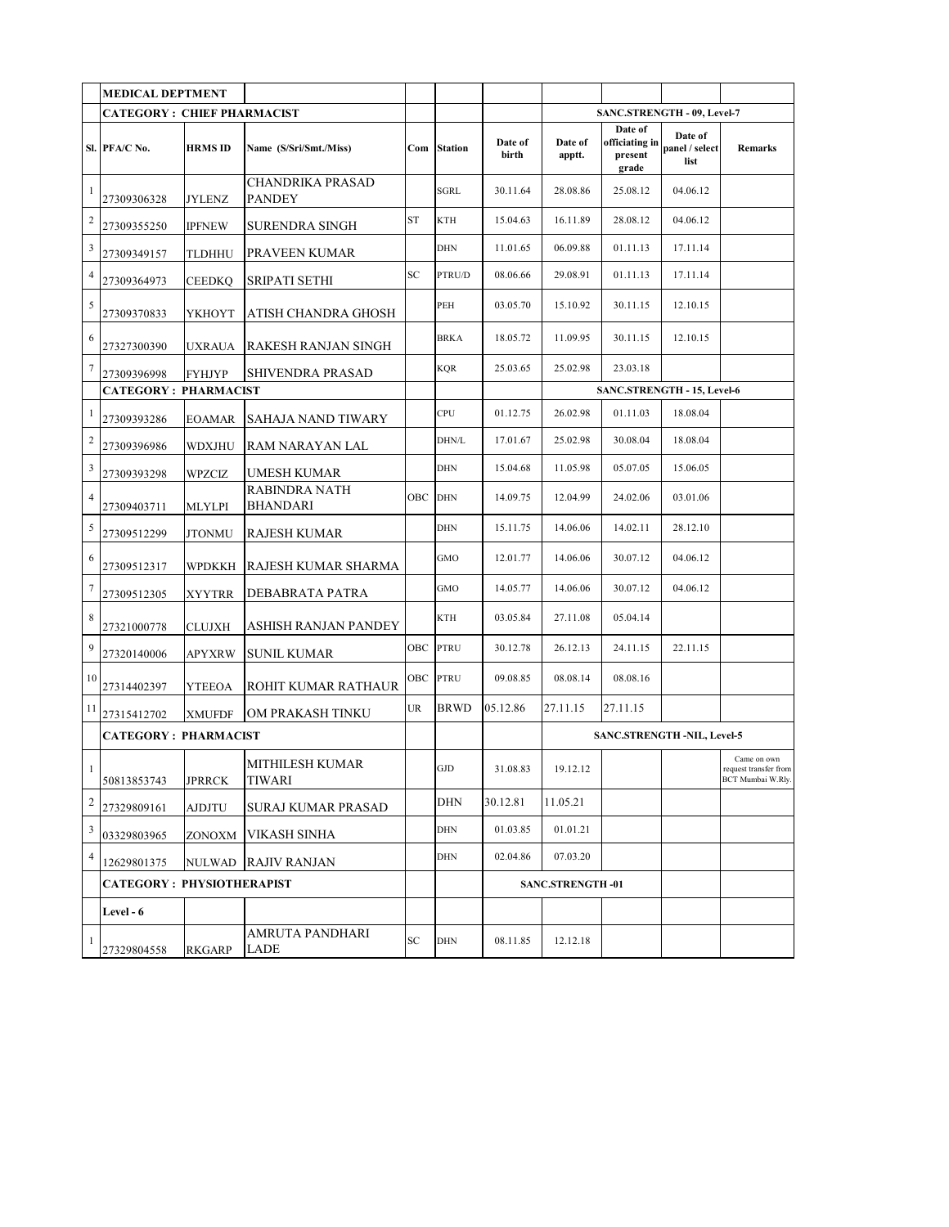|                         | <b>MEDICAL DEPTMENT</b>           |                |                                          |           |                |                  |                   |                                               |                                   |                                                          |  |  |
|-------------------------|-----------------------------------|----------------|------------------------------------------|-----------|----------------|------------------|-------------------|-----------------------------------------------|-----------------------------------|----------------------------------------------------------|--|--|
|                         | <b>CATEGORY: CHIEF PHARMACIST</b> |                |                                          |           |                |                  |                   | <b>SANC.STRENGTH - 09, Level-7</b><br>Date of |                                   |                                                          |  |  |
|                         | SI. PFA/C No.                     | <b>HRMS ID</b> | Name (S/Sri/Smt./Miss)                   | Com       | <b>Station</b> | Date of<br>birth | Date of<br>apptt. | officiating in<br>present<br>grade            | Date of<br>panel / select<br>list | Remarks                                                  |  |  |
| 1                       | 27309306328                       | <b>JYLENZ</b>  | <b>CHANDRIKA PRASAD</b><br><b>PANDEY</b> |           | <b>SGRL</b>    | 30.11.64         | 28.08.86          | 25.08.12                                      | 04.06.12                          |                                                          |  |  |
| $\overline{\mathbf{c}}$ | 27309355250                       | <b>IPFNEW</b>  | <b>SURENDRA SINGH</b>                    | <b>ST</b> | <b>KTH</b>     | 15.04.63         | 16.11.89          | 28.08.12                                      | 04.06.12                          |                                                          |  |  |
| 3                       | 27309349157                       | TLDHHU         | PRAVEEN KUMAR                            |           | DHN            | 11.01.65         | 06.09.88          | 01.11.13                                      | 17.11.14                          |                                                          |  |  |
| $\overline{4}$          | 27309364973                       | <b>CEEDKQ</b>  | <b>SRIPATI SETHI</b>                     | SC        | PTRU/D         | 08.06.66         | 29.08.91          | 01.11.13                                      | 17.11.14                          |                                                          |  |  |
| 5                       | 27309370833                       | ҮКНОҮТ         | ATISH CHANDRA GHOSH                      |           | PEH            | 03.05.70         | 15.10.92          | 30.11.15                                      | 12.10.15                          |                                                          |  |  |
| 6                       | 27327300390                       | <b>UXRAUA</b>  | RAKESH RANJAN SINGH                      |           | <b>BRKA</b>    | 18.05.72         | 11.09.95          | 30.11.15                                      | 12.10.15                          |                                                          |  |  |
| $\tau$                  | 27309396998                       | <b>FYHJYP</b>  | <b>SHIVENDRA PRASAD</b>                  |           | <b>KQR</b>     | 25.03.65         | 25.02.98          | 23.03.18                                      |                                   |                                                          |  |  |
|                         | <b>CATEGORY: PHARMACIST</b>       |                |                                          |           |                |                  |                   | SANC.STRENGTH - 15, Level-6                   |                                   |                                                          |  |  |
| $\mathbf{1}$            | 27309393286                       | <b>EOAMAR</b>  | <b>SAHAJA NAND TIWARY</b>                |           | CPU            | 01.12.75         | 26.02.98          | 01.11.03                                      | 18.08.04                          |                                                          |  |  |
| 2                       | 27309396986                       | WDXJHU         | RAM NARAYAN LAL                          |           | DHN/L          | 17.01.67         | 25.02.98          | 30.08.04                                      | 18.08.04                          |                                                          |  |  |
| 3                       | 27309393298                       | WPZCIZ         | UMESH KUMAR                              |           | DHN            | 15.04.68         | 11.05.98          | 05.07.05                                      | 15.06.05                          |                                                          |  |  |
| $\overline{4}$          | 27309403711                       | MLYLPI         | <b>RABINDRA NATH</b><br><b>BHANDARI</b>  | OBC       | <b>DHN</b>     | 14.09.75         | 12.04.99          | 24.02.06                                      | 03.01.06                          |                                                          |  |  |
| 5                       | 27309512299                       | <b>JTONMU</b>  | RAJESH KUMAR                             |           | DHN            | 15.11.75         | 14.06.06          | 14.02.11                                      | 28.12.10                          |                                                          |  |  |
| 6                       | 27309512317                       | WPDKKH         | RAJESH KUMAR SHARMA                      |           | GMO            | 12.01.77         | 14.06.06          | 30.07.12                                      | 04.06.12                          |                                                          |  |  |
| 7                       | 27309512305                       | XYYTRR         | DEBABRATA PATRA                          |           | GMO            | 14.05.77         | 14.06.06          | 30.07.12                                      | 04.06.12                          |                                                          |  |  |
| 8                       | 27321000778                       | <b>CLUJXH</b>  | ASHISH RANJAN PANDEY                     |           | KTH            | 03.05.84         | 27.11.08          | 05.04.14                                      |                                   |                                                          |  |  |
| 9                       | 27320140006                       | APYXRW         | <b>SUNIL KUMAR</b>                       | OBC       | <b>PTRU</b>    | 30.12.78         | 26.12.13          | 24.11.15                                      | 22.11.15                          |                                                          |  |  |
| 10                      | 27314402397                       | YTEEOA         | ROHIT KUMAR RATHAUR                      | OBC       | <b>PTRU</b>    | 09.08.85         | 08.08.14          | 08.08.16                                      |                                   |                                                          |  |  |
| 11                      | 27315412702                       | XMUFDF         | OM PRAKASH TINKU                         | UR        | <b>BRWD</b>    | 05.12.86         | 27.11.15          | 27.11.15                                      |                                   |                                                          |  |  |
|                         | <b>CATEGORY: PHARMACIST</b>       |                |                                          |           |                |                  |                   | SANC.STRENGTH-NIL, Level-5                    |                                   |                                                          |  |  |
| $\overline{1}$          | 50813853743                       | <b>JPRRCK</b>  | <b>MITHILESH KUMAR</b><br>TIWARI         |           | GJD            | 31.08.83         | 19.12.12          |                                               |                                   | Came on own<br>request transfer from<br>BCT Mumbai W.Rly |  |  |
| $\overline{\mathbf{c}}$ | 27329809161                       | AJDJTU         | SURAJ KUMAR PRASAD                       |           | <b>DHN</b>     | 30.12.81         | 11.05.21          |                                               |                                   |                                                          |  |  |
| 3                       | 03329803965                       | ZONOXM         | VIKASH SINHA                             |           | DHN            | 01.03.85         | 01.01.21          |                                               |                                   |                                                          |  |  |
| 4                       | 12629801375                       | NULWAD         | RAJIV RANJAN                             |           | DHN            | 02.04.86         | 07.03.20          |                                               |                                   |                                                          |  |  |
|                         | <b>CATEGORY: PHYSIOTHERAPIST</b>  |                |                                          |           |                |                  | SANC.STRENGTH-01  |                                               |                                   |                                                          |  |  |
|                         | Level - 6                         |                |                                          |           |                |                  |                   |                                               |                                   |                                                          |  |  |
| $\mathbf{1}$            | 27329804558                       | <b>RKGARP</b>  | AMRUTA PANDHARI<br>LADE                  | SC        | DHN            | 08.11.85         | 12.12.18          |                                               |                                   |                                                          |  |  |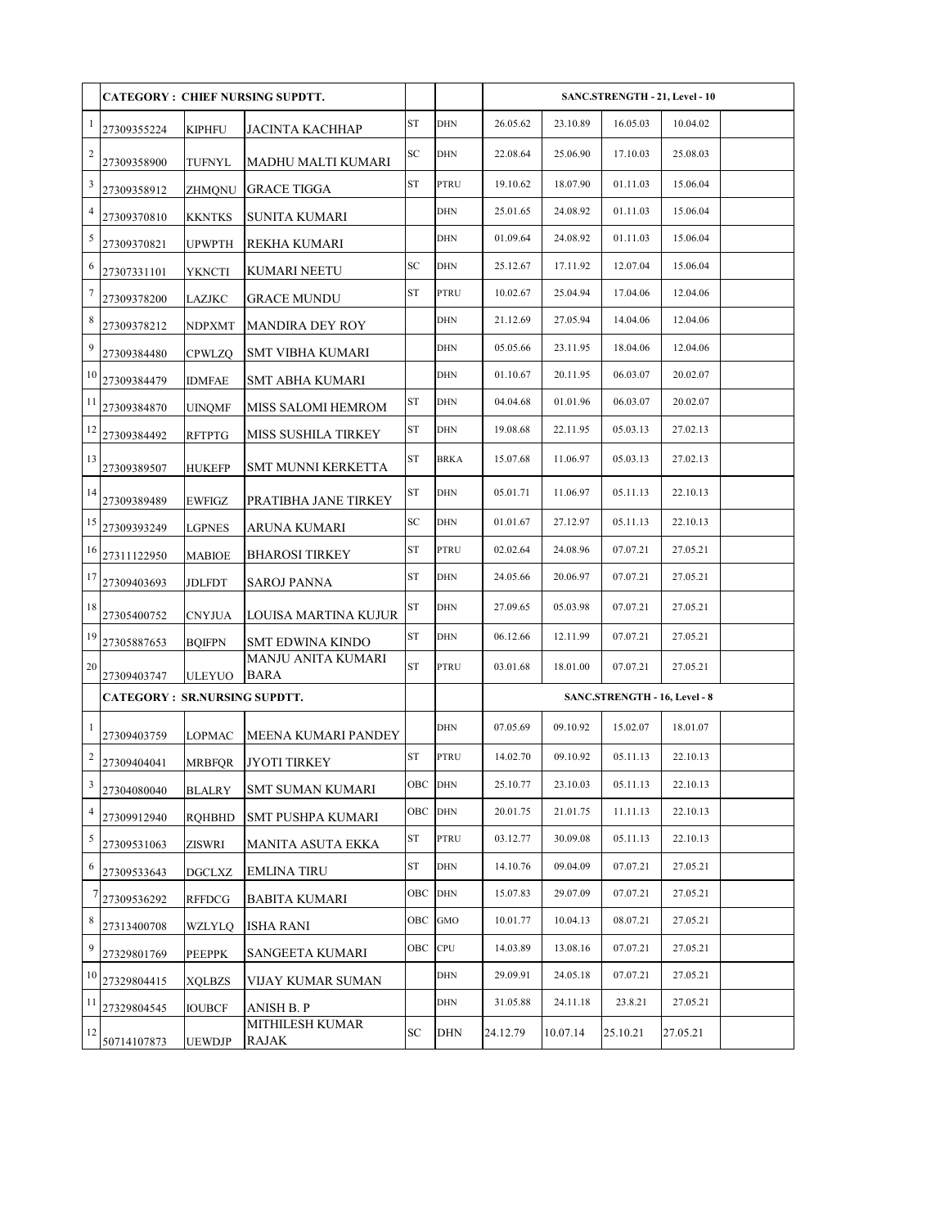|                |                                     |               | <b>CATEGORY: CHIEF NURSING SUPDTT.</b> |            |             |          |          | SANC.STRENGTH - 21, Level - 10 |          |  |
|----------------|-------------------------------------|---------------|----------------------------------------|------------|-------------|----------|----------|--------------------------------|----------|--|
| $\mathbf{1}$   | 27309355224                         | <b>KIPHFU</b> | JACINTA KACHHAP                        | <b>ST</b>  | <b>DHN</b>  | 26.05.62 | 23.10.89 | 16.05.03                       | 10.04.02 |  |
| $\overline{c}$ | 27309358900                         | TUFNYL        | MADHU MALTI KUMARI                     | SC         | <b>DHN</b>  | 22.08.64 | 25.06.90 | 17.10.03                       | 25.08.03 |  |
| 3              | 27309358912                         | ZHMQNU        | <b>GRACE TIGGA</b>                     | ST         | PTRU        | 19.10.62 | 18.07.90 | 01.11.03                       | 15.06.04 |  |
| 4              | 27309370810                         | <b>KKNTKS</b> | SUNITA KUMARI                          |            | DHN         | 25.01.65 | 24.08.92 | 01.11.03                       | 15.06.04 |  |
| 5              | 27309370821                         | <b>UPWPTH</b> | REKHA KUMARI                           |            | DHN         | 01.09.64 | 24.08.92 | 01.11.03                       | 15.06.04 |  |
| 6              | 27307331101                         | YKNCTI        | KUMARI NEETU                           | SC         | DHN         | 25.12.67 | 17.11.92 | 12.07.04                       | 15.06.04 |  |
| 7              | 27309378200                         | LAZJKC        | <b>GRACE MUNDU</b>                     | <b>ST</b>  | <b>PTRU</b> | 10.02.67 | 25.04.94 | 17.04.06                       | 12.04.06 |  |
| 8              | 27309378212                         | <b>NDPXMT</b> | <b>MANDIRA DEY ROY</b>                 |            | <b>DHN</b>  | 21.12.69 | 27.05.94 | 14.04.06                       | 12.04.06 |  |
| 9              | 27309384480                         | <b>CPWLZQ</b> | SMT VIBHA KUMARI                       |            | <b>DHN</b>  | 05.05.66 | 23.11.95 | 18.04.06                       | 12.04.06 |  |
| 10             | 27309384479                         | IDMFAE        | SMT ABHA KUMARI                        |            | DHN         | 01.10.67 | 20.11.95 | 06.03.07                       | 20.02.07 |  |
| 11             | 27309384870                         | <b>UINOMF</b> | MISS SALOMI HEMROM                     | ST         | <b>DHN</b>  | 04.04.68 | 01.01.96 | 06.03.07                       | 20.02.07 |  |
| 12             | 27309384492                         | RFTPTG        | MISS SUSHILA TIRKEY                    | ST         | DHN         | 19.08.68 | 22.11.95 | 05.03.13                       | 27.02.13 |  |
| 13             | 27309389507                         | <b>HUKEFP</b> | SMT MUNNI KERKETTA                     | ST         | <b>BRKA</b> | 15.07.68 | 11.06.97 | 05.03.13                       | 27.02.13 |  |
| 14             | 27309389489                         | EWFIGZ        | PRATIBHA JANE TIRKEY                   | ST         | DHN         | 05.01.71 | 11.06.97 | 05.11.13                       | 22.10.13 |  |
| 15             | 27309393249                         | <b>LGPNES</b> | ARUNA KUMARI                           | SC         | DHN         | 01.01.67 | 27.12.97 | 05.11.13                       | 22.10.13 |  |
| 16             | 27311122950                         | <b>MABIOE</b> | <b>BHAROSI TIRKEY</b>                  | <b>ST</b>  | PTRU        | 02.02.64 | 24.08.96 | 07.07.21                       | 27.05.21 |  |
| 17             | 27309403693                         | JDLFDT        | <b>SAROJ PANNA</b>                     | <b>ST</b>  | DHN         | 24.05.66 | 20.06.97 | 07.07.21                       | 27.05.21 |  |
| 18             | 27305400752                         | <b>CNYJUA</b> | LOUISA MARTINA KUJUR                   | ST         | DHN         | 27.09.65 | 05.03.98 | 07.07.21                       | 27.05.21 |  |
| 19             | 27305887653                         | <b>BOIFPN</b> | SMT EDWINA KINDO                       | ST         | DHN         | 06.12.66 | 12.11.99 | 07.07.21                       | 27.05.21 |  |
| 20             | 27309403747                         | ULEYUO        | MANJU ANITA KUMARI<br><b>BARA</b>      | <b>ST</b>  | PTRU        | 03.01.68 | 18.01.00 | 07.07.21                       | 27.05.21 |  |
|                | <b>CATEGORY: SR.NURSING SUPDTT.</b> |               |                                        |            |             |          |          | SANC.STRENGTH - 16, Level - 8  |          |  |
| 1              | 27309403759                         | <b>LOPMAC</b> | MEENA KUMARI PANDEY                    |            | DHN         | 07.05.69 | 09.10.92 | 15.02.07                       | 18.01.07 |  |
| 2              | 27309404041                         | MRBFQR        | JYOTI TIRKEY                           | <b>ST</b>  | PTRU        | 14.02.70 | 09.10.92 | 05.11.13                       | 22.10.13 |  |
| 3              | 27304080040                         | <b>BLALRY</b> | SMT SUMAN KUMARI                       | OBC        | <b>DHN</b>  | 25.10.77 | 23.10.03 | 05.11.13                       | 22.10.13 |  |
| $\overline{4}$ | 27309912940                         | <b>RQHBHD</b> | SMT PUSHPA KUMARI                      | OBC        | ${\rm DHN}$ | 20.01.75 | 21.01.75 | 11.11.13                       | 22.10.13 |  |
| 5              | 27309531063                         | ZISWRI        | MANITA ASUTA EKKA                      | ST         | PTRU        | 03.12.77 | 30.09.08 | 05.11.13                       | 22.10.13 |  |
| 6              | 27309533643                         | <b>DGCLXZ</b> | <b>EMLINA TIRU</b>                     | ${\rm ST}$ | DHN         | 14.10.76 | 09.04.09 | 07.07.21                       | 27.05.21 |  |
|                | 27309536292                         | RFFDCG        | BABITA KUMARI                          | OBC        | DHN         | 15.07.83 | 29.07.09 | 07.07.21                       | 27.05.21 |  |
| $\,$ 8 $\,$    | 27313400708                         | WZLYLQ        | <b>ISHA RANI</b>                       | OBC        | GMO         | 10.01.77 | 10.04.13 | 08.07.21                       | 27.05.21 |  |
| 9              | 27329801769                         | <b>PEEPPK</b> | SANGEETA KUMARI                        | OBC        | CPU         | 14.03.89 | 13.08.16 | 07.07.21                       | 27.05.21 |  |
| 10             | 27329804415                         | <b>XQLBZS</b> | VIJAY KUMAR SUMAN                      |            | DHN         | 29.09.91 | 24.05.18 | 07.07.21                       | 27.05.21 |  |
| 11             | 27329804545                         | <b>IOUBCF</b> | <b>ANISH B. P</b>                      |            | DHN         | 31.05.88 | 24.11.18 | 23.8.21                        | 27.05.21 |  |
| 12             | 50714107873                         | UEWDJP        | MITHILESH KUMAR<br>RAJAK               | SC         | DHN         | 24.12.79 | 10.07.14 | 25.10.21                       | 27.05.21 |  |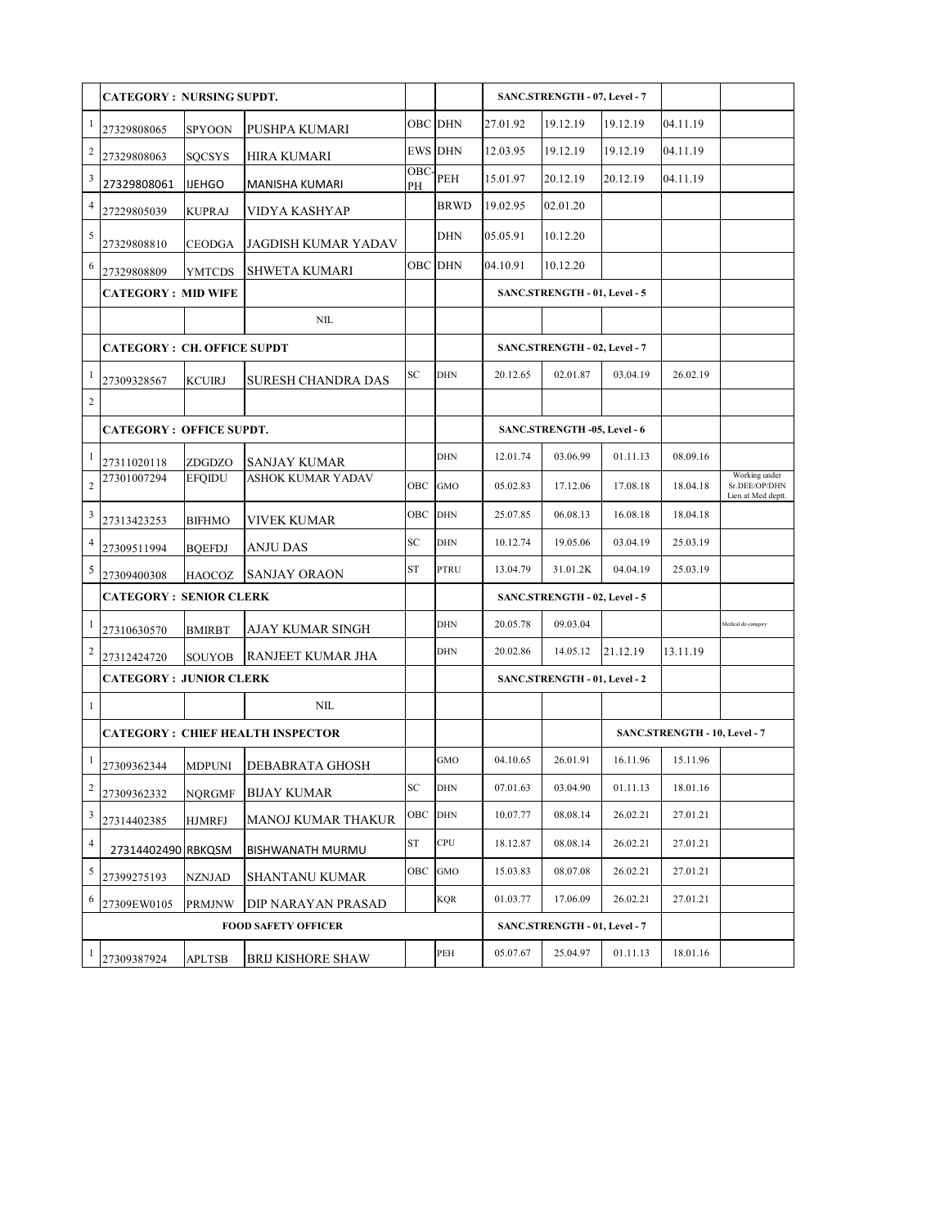|                | <b>CATEGORY: NURSING SUPDT.</b>   |               |                                         |            |                |          | SANC.STRENGTH - 07, Level - 7 |          |                               |                                                      |
|----------------|-----------------------------------|---------------|-----------------------------------------|------------|----------------|----------|-------------------------------|----------|-------------------------------|------------------------------------------------------|
| 1              | 27329808065                       | SPYOON        | PUSHPA KUMARI                           |            | OBC DHN        | 27.01.92 | 19.12.19                      | 19.12.19 | 04.11.19                      |                                                      |
| 2              | 27329808063                       | SQCSYS        | HIRA KUMARI                             |            | <b>EWS DHN</b> | 12.03.95 | 19.12.19                      | 19.12.19 | 04.11.19                      |                                                      |
| 3              | 27329808061                       | <b>IJEHGO</b> | MANISHA KUMARI                          | OBC<br>PH  | PEH            | 15.01.97 | 20.12.19                      | 20.12.19 | 04.11.19                      |                                                      |
| $\overline{4}$ | 27229805039                       | <b>KUPRAJ</b> | VIDYA KASHYAP                           |            | <b>BRWD</b>    | 19.02.95 | 02.01.20                      |          |                               |                                                      |
| 5              | 27329808810                       | <b>CEODGA</b> | JAGDISH KUMAR YADAV                     |            | <b>DHN</b>     | 05.05.91 | 10.12.20                      |          |                               |                                                      |
| 6              | 27329808809                       | <b>YMTCDS</b> | <b>SHWETA KUMARI</b>                    |            | OBC DHN        | 04.10.91 | 10.12.20                      |          |                               |                                                      |
|                | <b>CATEGORY: MID WIFE</b>         |               |                                         |            |                |          | SANC.STRENGTH - 01, Level - 5 |          |                               |                                                      |
|                |                                   |               | <b>NIL</b>                              |            |                |          |                               |          |                               |                                                      |
|                | <b>CATEGORY: CH. OFFICE SUPDT</b> |               |                                         |            |                |          | SANC.STRENGTH - 02, Level - 7 |          |                               |                                                      |
| 1              | 27309328567                       | <b>KCUIRJ</b> | SURESH CHANDRA DAS                      | SC         | <b>DHN</b>     | 20.12.65 | 02.01.87                      | 03.04.19 | 26.02.19                      |                                                      |
| $\overline{c}$ |                                   |               |                                         |            |                |          |                               |          |                               |                                                      |
|                | <b>CATEGORY: OFFICE SUPDT.</b>    |               |                                         |            |                |          | SANC.STRENGTH -05, Level - 6  |          |                               |                                                      |
| 1              | 27311020118                       | ZDGDZO        | SANJAY KUMAR                            |            | <b>DHN</b>     | 12.01.74 | 03.06.99                      | 01.11.13 | 08.09.16                      |                                                      |
| $\overline{c}$ | 27301007294                       | <b>EFQIDU</b> | <b>ASHOK KUMAR YADAV</b>                | OBC        | GMO            | 05.02.83 | 17.12.06                      | 17.08.18 | 18.04.18                      | Working under<br>Sr.DEE/OP/DHN<br>Lien at Med deptt. |
| 3              | 27313423253                       | <b>BIFHMO</b> | VIVEK KUMAR                             | OBC        | <b>DHN</b>     | 25.07.85 | 06.08.13                      | 16.08.18 | 18.04.18                      |                                                      |
| 4              | 27309511994                       | <b>BQEFDJ</b> | ANJU DAS                                | SC         | <b>DHN</b>     | 10.12.74 | 19.05.06                      | 03.04.19 | 25.03.19                      |                                                      |
| 5              | 27309400308                       | <b>HAOCOZ</b> | <b>SANJAY ORAON</b>                     | ${\rm ST}$ | PTRU           | 13.04.79 | 31.01.2K                      | 04.04.19 | 25.03.19                      |                                                      |
|                | <b>CATEGORY: SENIOR CLERK</b>     |               |                                         |            |                |          | SANC.STRENGTH - 02, Level - 5 |          |                               |                                                      |
| 1              | 27310630570                       | <b>BMIRBT</b> | AJAY KUMAR SINGH                        |            | <b>DHN</b>     | 20.05.78 | 09.03.04                      |          |                               | Medical de-catagory                                  |
| $\sqrt{2}$     | 27312424720                       | <b>SOUYOB</b> | RANJEET KUMAR JHA                       |            | <b>DHN</b>     | 20.02.86 | 14.05.12                      | 21.12.19 | 13.11.19                      |                                                      |
|                | <b>CATEGORY: JUNIOR CLERK</b>     |               |                                         |            |                |          | SANC.STRENGTH - 01, Level - 2 |          |                               |                                                      |
| $\mathbf{1}$   |                                   |               | NIL                                     |            |                |          |                               |          |                               |                                                      |
|                |                                   |               | <b>CATEGORY: CHIEF HEALTH INSPECTOR</b> |            |                |          |                               |          | SANC.STRENGTH - 10, Level - 7 |                                                      |
| 1              | 27309362344                       | <b>MDPUNI</b> | <b>DEBABRATA GHOSH</b>                  |            | GMO            | 04.10.65 | 26.01.91                      | 16.11.96 | 15.11.96                      |                                                      |
| 2              | 27309362332                       | <b>NQRGMF</b> | <b>BIJAY KUMAR</b>                      | SC         | <b>DHN</b>     | 07.01.63 | 03.04.90                      | 01.11.13 | 18.01.16                      |                                                      |
| 3              | 27314402385                       | <b>HJMRFJ</b> | <b>MANOJ KUMAR THAKUR</b>               | OBC        | <b>DHN</b>     | 10.07.77 | 08.08.14                      | 26.02.21 | 27.01.21                      |                                                      |
| 4              | 27314402490 RBKQSM                |               | BISHWANATH MURMU                        | ST         | CPU            | 18.12.87 | 08.08.14                      | 26.02.21 | 27.01.21                      |                                                      |
| 5              | 27399275193                       | <b>NZNJAD</b> | SHANTANU KUMAR                          | OBC        | <b>GMO</b>     | 15.03.83 | 08.07.08                      | 26.02.21 | 27.01.21                      |                                                      |
| 6              | 27309EW0105                       | <b>PRMJNW</b> | DIP NARAYAN PRASAD                      |            | KQR            | 01.03.77 | 17.06.09                      | 26.02.21 | 27.01.21                      |                                                      |
|                |                                   |               | <b>FOOD SAFETY OFFICER</b>              |            |                |          | SANC.STRENGTH - 01, Level - 7 |          |                               |                                                      |
| 1              | 27309387924                       | <b>APLTSB</b> | <b>BRIJ KISHORE SHAW</b>                |            | PEH            | 05.07.67 | 25.04.97                      | 01.11.13 | 18.01.16                      |                                                      |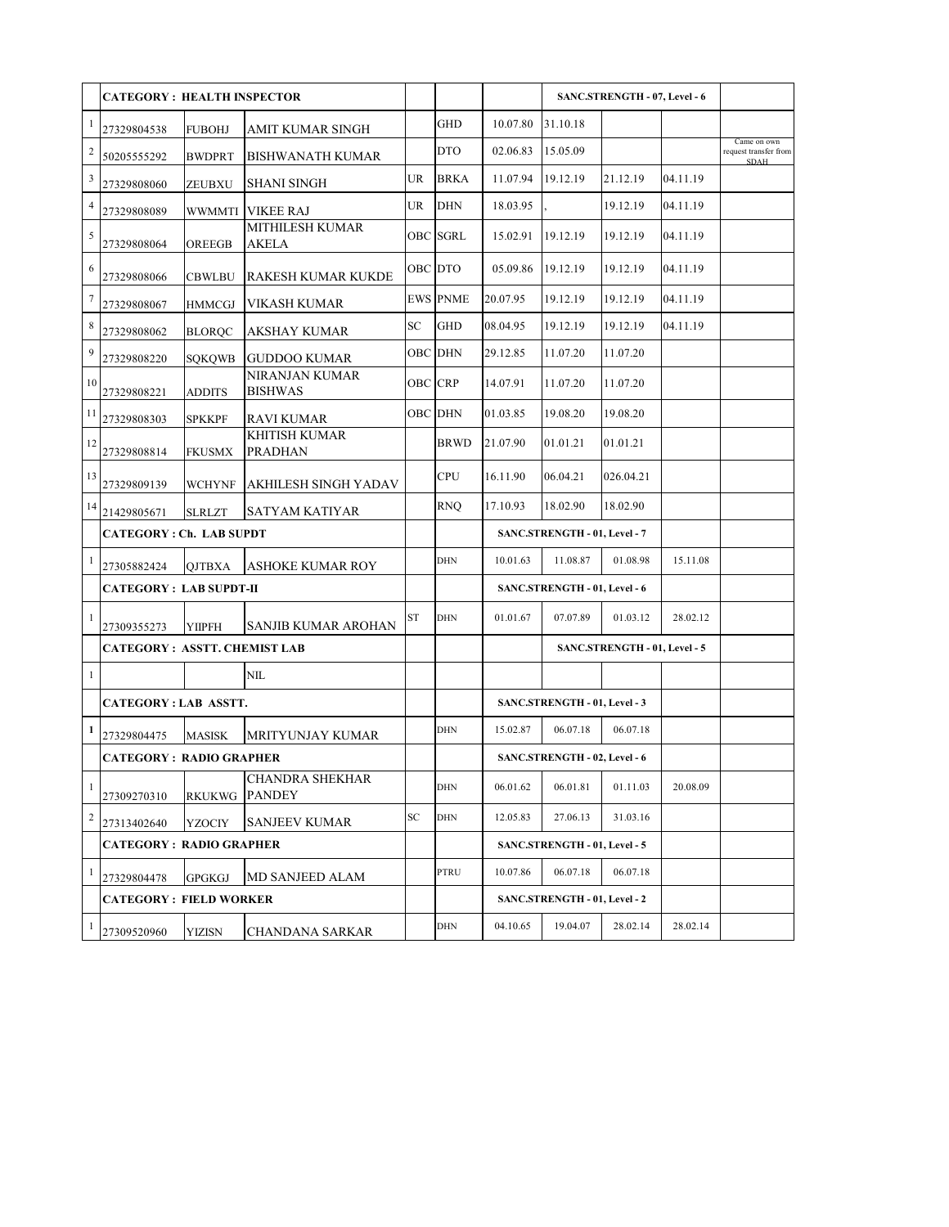|                | <b>CATEGORY: HEALTH INSPECTOR</b><br>1 |                                                                |                                        |            |                 |          | SANC.STRENGTH - 07, Level - 6 |                               |          |                                      |
|----------------|----------------------------------------|----------------------------------------------------------------|----------------------------------------|------------|-----------------|----------|-------------------------------|-------------------------------|----------|--------------------------------------|
|                | 27329804538                            | <b>FUBOHJ</b>                                                  | AMIT KUMAR SINGH                       |            | <b>GHD</b>      | 10.07.80 | 31.10.18                      |                               |          |                                      |
| 2              | 50205555292                            | <b>BWDPRT</b>                                                  | <b>BISHWANATH KUMAR</b>                |            | <b>DTO</b>      | 02.06.83 | 15.05.09                      |                               |          | Came on own<br>request transfer from |
| 3              | 27329808060                            | ZEUBXU                                                         | <b>SHANI SINGH</b>                     | <b>UR</b>  | <b>BRKA</b>     | 11.07.94 | 19.12.19                      | 21.12.19                      | 04.11.19 |                                      |
| $\overline{4}$ | 27329808089                            | WWMMTI                                                         | <b>VIKEE RAJ</b>                       | <b>UR</b>  | <b>DHN</b>      | 18.03.95 |                               | 19.12.19                      | 04.11.19 |                                      |
| 5              | 27329808064                            | OREEGB                                                         | <b>MITHILESH KUMAR</b><br><b>AKELA</b> |            | <b>OBC SGRL</b> | 15.02.91 | 19.12.19                      | 19.12.19                      | 04.11.19 |                                      |
| 6              | 27329808066                            | CBWLBU                                                         | RAKESH KUMAR KUKDE                     |            | OBC DTO         | 05.09.86 | 19.12.19                      | 19.12.19                      | 04.11.19 |                                      |
| 7              | 27329808067                            | HMMCGJ                                                         | VIKASH KUMAR                           |            | <b>EWS PNME</b> | 20.07.95 | 19.12.19                      | 19.12.19                      | 04.11.19 |                                      |
| 8              | 27329808062                            | <b>BLORQC</b>                                                  | AKSHAY KUMAR                           | SC         | <b>GHD</b>      | 08.04.95 | 19.12.19                      | 19.12.19                      | 04.11.19 |                                      |
| 9              | 27329808220                            | SQKQWB                                                         | <b>GUDDOO KUMAR</b>                    |            | OBC DHN         | 29.12.85 | 11.07.20                      | 11.07.20                      |          |                                      |
| 10             | 27329808221                            | <b>ADDITS</b>                                                  | NIRANJAN KUMAR<br><b>BISHWAS</b>       |            | <b>OBC</b> CRP  | 14.07.91 | 11.07.20                      | 11.07.20                      |          |                                      |
| 11             | 27329808303                            | <b>SPKKPF</b>                                                  | RAVI KUMAR                             |            | OBC DHN         | 01.03.85 | 19.08.20                      | 19.08.20                      |          |                                      |
| 12             | 27329808814                            | FKUSMX                                                         | <b>KHITISH KUMAR</b><br>PRADHAN        |            | <b>BRWD</b>     | 21.07.90 | 01.01.21                      | 01.01.21                      |          |                                      |
| 13             | 27329809139                            | <b>WCHYNF</b>                                                  | <b>AKHILESH SINGH YADAV</b>            |            | <b>CPU</b>      | 16.11.90 | 06.04.21                      | 026.04.21                     |          |                                      |
| 14             | 21429805671                            | <b>SLRLZT</b>                                                  | SATYAM KATIYAR                         |            | <b>RNQ</b>      | 17.10.93 | 18.02.90                      | 18.02.90                      |          |                                      |
|                | <b>CATEGORY: Ch. LAB SUPDT</b>         |                                                                |                                        |            |                 |          | SANC.STRENGTH - 01, Level - 7 |                               |          |                                      |
| 1              | 27305882424                            | <b>OJTBXA</b>                                                  | ASHOKE KUMAR ROY                       |            | <b>DHN</b>      | 10.01.63 | 11.08.87                      | 01.08.98                      | 15.11.08 |                                      |
|                | <b>CATEGORY: LAB SUPDT-II</b>          |                                                                |                                        |            |                 |          | SANC.STRENGTH - 01, Level - 6 |                               |          |                                      |
| 1              | 27309355273                            | <b>YIIPFH</b>                                                  | SANJIB KUMAR AROHAN                    | ${\rm ST}$ | <b>DHN</b>      | 01.01.67 | 07.07.89                      | 01.03.12                      | 28.02.12 |                                      |
|                | <b>CATEGORY: ASSTT. CHEMIST LAB</b>    |                                                                |                                        |            |                 |          |                               | SANC.STRENGTH - 01, Level - 5 |          |                                      |
| $\mathbf{1}$   |                                        |                                                                | NIL                                    |            |                 |          |                               |                               |          |                                      |
|                | CATEGORY : LAB ASSTT.                  |                                                                |                                        |            |                 |          | SANC.STRENGTH - 01, Level - 3 |                               |          |                                      |
| 1              | 27329804475                            | <b>MASISK</b>                                                  | <b>MRITYUNJAY KUMAR</b>                |            | <b>DHN</b>      | 15.02.87 | 06.07.18                      | 06.07.18                      |          |                                      |
|                | <b>CATEGORY: RADIO GRAPHER</b>         |                                                                |                                        |            |                 |          | SANC.STRENGTH - 02, Level - 6 |                               |          |                                      |
| 1              | 27309270310                            | RKUKWG                                                         | CHANDRA SHEKHAR<br><b>PANDEY</b>       |            | <b>DHN</b>      | 06.01.62 | 06.01.81                      | 01.11.03                      | 20.08.09 |                                      |
| 2              | 27313402640                            | YZOCIY                                                         | <b>SANJEEV KUMAR</b>                   | SC         | DHN             | 12.05.83 | 27.06.13                      | 31.03.16                      |          |                                      |
|                | <b>CATEGORY: RADIO GRAPHER</b>         |                                                                |                                        |            |                 |          | SANC.STRENGTH - 01, Level - 5 |                               |          |                                      |
| 1              | 27329804478                            | <b>GPGKGJ</b>                                                  | <b>MD SANJEED ALAM</b>                 |            | PTRU            | 10.07.86 | 06.07.18                      | 06.07.18                      |          |                                      |
|                |                                        | <b>CATEGORY: FIELD WORKER</b><br>SANC.STRENGTH - 01, Level - 2 |                                        |            |                 |          |                               |                               |          |                                      |
| 1              | 27309520960                            | <b>YIZISN</b>                                                  | CHANDANA SARKAR                        |            | DHN             | 04.10.65 | 19.04.07                      | 28.02.14                      | 28.02.14 |                                      |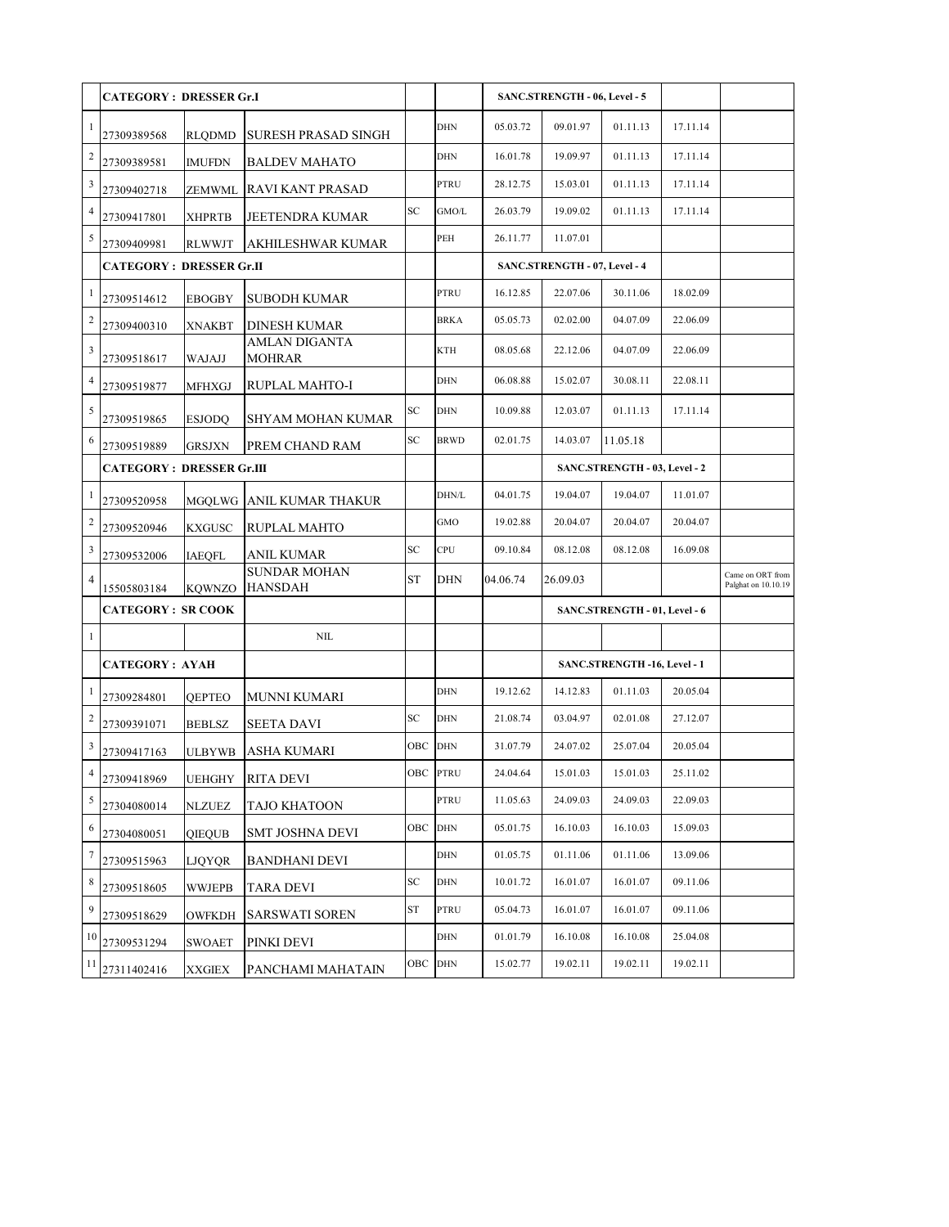|        | <b>CATEGORY: DRESSER Gr.I</b>              |               |                                       |            |             |          | SANC.STRENGTH - 06, Level - 5 |                               |          |                                         |
|--------|--------------------------------------------|---------------|---------------------------------------|------------|-------------|----------|-------------------------------|-------------------------------|----------|-----------------------------------------|
| 1      | 27309389568                                | <b>RLQDMD</b> | <b>SURESH PRASAD SINGH</b>            |            | <b>DHN</b>  | 05.03.72 | 09.01.97                      | 01.11.13                      | 17.11.14 |                                         |
| 2      | 27309389581                                | <b>IMUFDN</b> | <b>BALDEV MAHATO</b>                  |            | <b>DHN</b>  | 16.01.78 | 19.09.97                      | 01.11.13                      | 17.11.14 |                                         |
| 3      | 27309402718                                |               | ZEMWML RAVI KANT PRASAD               |            | <b>PTRU</b> | 28.12.75 | 15.03.01                      | 01.11.13                      | 17.11.14 |                                         |
| 4      | 27309417801                                | <b>XHPRTB</b> | <b>JEETENDRA KUMAR</b>                | SC         | GMO/L       | 26.03.79 | 19.09.02                      | 01.11.13                      | 17.11.14 |                                         |
| 5      | 27309409981                                | <b>RLWWJT</b> | AKHILESHWAR KUMAR                     |            | PEH         | 26.11.77 | 11.07.01                      |                               |          |                                         |
|        | <b>CATEGORY: DRESSER Gr.II</b>             |               |                                       |            |             |          | SANC.STRENGTH - 07, Level - 4 |                               |          |                                         |
| 1      | 27309514612                                | <b>EBOGBY</b> | <b>SUBODH KUMAR</b>                   |            | <b>PTRU</b> | 16.12.85 | 22.07.06                      | 30.11.06                      | 18.02.09 |                                         |
| 2      | 27309400310                                | <b>XNAKBT</b> | <b>DINESH KUMAR</b>                   |            | <b>BRKA</b> | 05.05.73 | 02.02.00                      | 04.07.09                      | 22.06.09 |                                         |
| 3      | 27309518617                                | WAJAJJ        | AMLAN DIGANTA<br><b>MOHRAR</b>        |            | <b>KTH</b>  | 08.05.68 | 22.12.06                      | 04.07.09                      | 22.06.09 |                                         |
| 4      | 27309519877                                | <b>MFHXGJ</b> | RUPLAL MAHTO-I                        |            | <b>DHN</b>  | 06.08.88 | 15.02.07                      | 30.08.11                      | 22.08.11 |                                         |
| 5      | 27309519865                                | <b>ESJODQ</b> | SHYAM MOHAN KUMAR                     | SC         | <b>DHN</b>  | 10.09.88 | 12.03.07                      | 01.11.13                      | 17.11.14 |                                         |
| 6      | 27309519889                                | <b>GRSJXN</b> | PREM CHAND RAM                        | SC         | <b>BRWD</b> | 02.01.75 | 14.03.07                      | 11.05.18                      |          |                                         |
|        | <b>CATEGORY: DRESSER Gr.III</b>            |               |                                       |            |             |          |                               | SANC.STRENGTH - 03, Level - 2 |          |                                         |
| 1      | 27309520958                                |               | MGQLWG ANIL KUMAR THAKUR              |            | DHN/L       | 04.01.75 | 19.04.07                      | 19.04.07                      | 11.01.07 |                                         |
| 2      | 27309520946                                | <b>KXGUSC</b> | <b>RUPLAL MAHTO</b>                   |            | GMO         | 19.02.88 | 20.04.07                      | 20.04.07                      | 20.04.07 |                                         |
| 3      | 27309532006                                | <b>IAEQFL</b> | ANIL KUMAR                            | SC         | <b>CPU</b>  | 09.10.84 | 08.12.08                      | 08.12.08                      | 16.09.08 |                                         |
| 4      | 15505803184                                | KOWNZO        | <b>SUNDAR MOHAN</b><br><b>HANSDAH</b> | <b>ST</b>  | <b>DHN</b>  | 04.06.74 | 26.09.03                      |                               |          | Came on ORT from<br>Palghat on 10.10.19 |
|        | <b>CATEGORY: SR COOK</b>                   |               |                                       |            |             |          |                               | SANC.STRENGTH - 01, Level - 6 |          |                                         |
|        |                                            |               |                                       |            |             |          |                               |                               |          |                                         |
|        |                                            |               | $\text{NIL}$                          |            |             |          |                               |                               |          |                                         |
| 1      | <b>CATEGORY: AYAH</b>                      |               |                                       |            |             |          |                               | SANC.STRENGTH -16, Level - 1  |          |                                         |
|        | 27309284801                                | <b>OEPTEO</b> | <b>MUNNI KUMARI</b>                   |            | <b>DHN</b>  | 19.12.62 | 14.12.83                      | 01.11.03                      | 20.05.04 |                                         |
| 1<br>2 | 27309391071                                | <b>BEBLSZ</b> | <b>SEETA DAVI</b>                     | SC         | <b>DHN</b>  | 21.08.74 | 03.04.97                      | 02.01.08                      | 27.12.07 |                                         |
| 3      | 27309417163                                | <b>ULBYWB</b> | ASHA KUMARI                           | OBC        | <b>DHN</b>  | 31.07.79 | 24.07.02                      | 25.07.04                      | 20.05.04 |                                         |
|        |                                            |               | UEHGHY RITA DEVI                      |            | OBC PTRU    | 24.04.64 | 15.01.03                      | 15.01.03                      | 25.11.02 |                                         |
| 5      | $4 \overline{)27309418969}$<br>27304080014 | <b>NLZUEZ</b> | <b>TAJO KHATOON</b>                   |            | <b>PTRU</b> | 11.05.63 | 24.09.03                      | 24.09.03                      | 22.09.03 |                                         |
| 6      | 27304080051                                | QIEQUB        | <b>SMT JOSHNA DEVI</b>                | OBC        | <b>DHN</b>  | 05.01.75 | 16.10.03                      | 16.10.03                      | 15.09.03 |                                         |
| 7      | 27309515963                                | <b>LJQYQR</b> | <b>BANDHANI DEVI</b>                  |            | DHN         | 01.05.75 | 01.11.06                      | 01.11.06                      | 13.09.06 |                                         |
| 8      | 27309518605                                | <b>WWJEPB</b> | TARA DEVI                             | SC         | DHN         | 10.01.72 | 16.01.07                      | 16.01.07                      | 09.11.06 |                                         |
| 9      | 27309518629                                | <b>OWFKDH</b> | <b>SARSWATI SOREN</b>                 | ${\rm ST}$ | <b>PTRU</b> | 05.04.73 | 16.01.07                      | 16.01.07                      | 09.11.06 |                                         |
| 10     | 27309531294                                | <b>SWOAET</b> | PINKI DEVI                            |            | <b>DHN</b>  | 01.01.79 | 16.10.08                      | 16.10.08                      | 25.04.08 |                                         |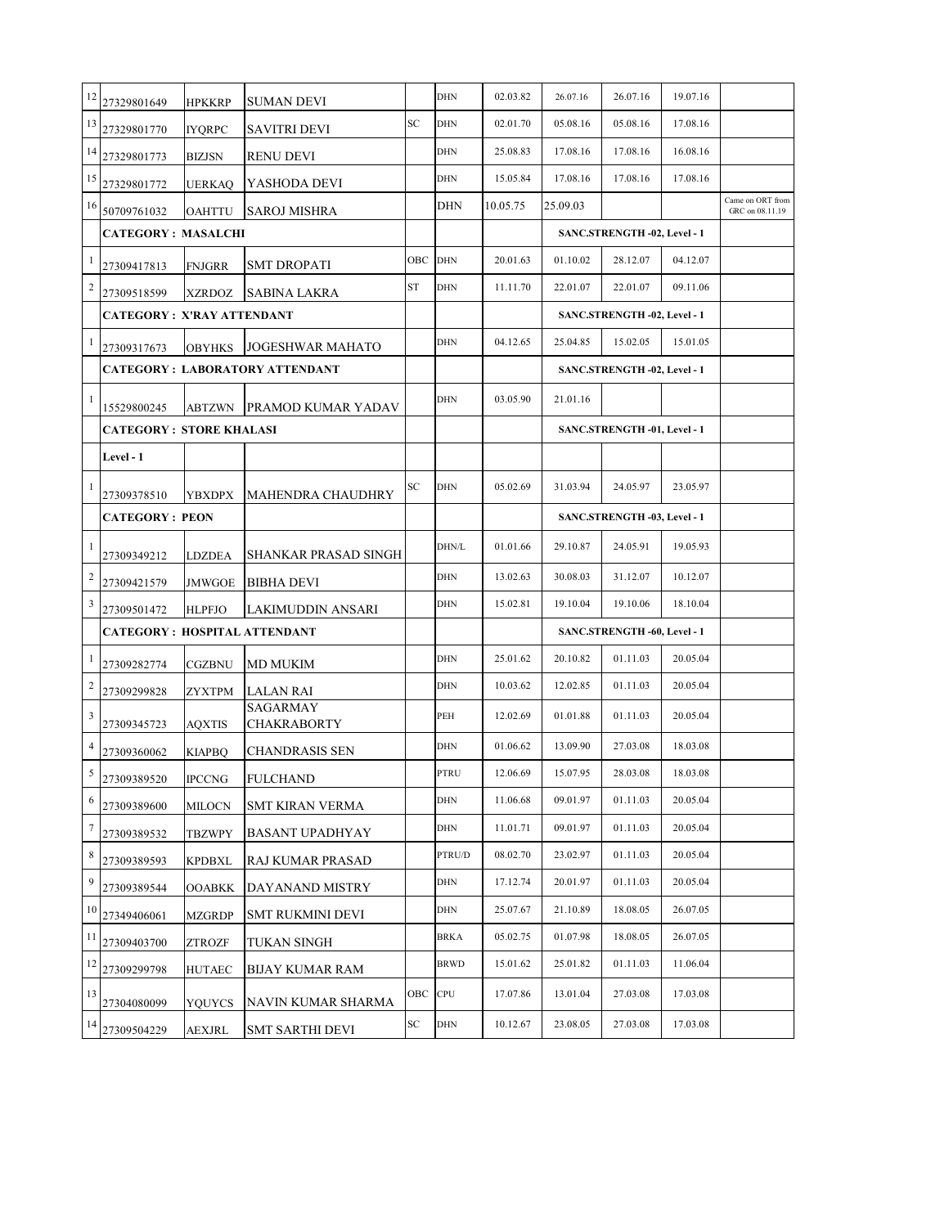| 12                      | 27329801649                          | <b>HPKKRP</b> | <b>SUMAN DEVI</b>                     |                  | <b>DHN</b>  | 02.03.82 | 26.07.16 | 26.07.16                     | 19.07.16 |                                     |
|-------------------------|--------------------------------------|---------------|---------------------------------------|------------------|-------------|----------|----------|------------------------------|----------|-------------------------------------|
| 13                      | 27329801770                          | <b>IYQRPC</b> | SAVITRI DEVI                          | <b>SC</b>        | <b>DHN</b>  | 02.01.70 | 05.08.16 | 05.08.16                     | 17.08.16 |                                     |
| 14                      | 27329801773                          | BIZJSN        | RENU DEVI                             |                  | <b>DHN</b>  | 25.08.83 | 17.08.16 | 17.08.16                     | 16.08.16 |                                     |
| 15                      | 27329801772                          | <b>UERKAQ</b> | YASHODA DEVI                          |                  | <b>DHN</b>  | 15.05.84 | 17.08.16 | 17.08.16                     | 17.08.16 |                                     |
| 16                      | 50709761032                          | <b>OAHTTU</b> | <b>SAROJ MISHRA</b>                   |                  | <b>DHN</b>  | 10.05.75 | 25.09.03 |                              |          | Came on ORT from<br>GRC on 08.11.19 |
|                         | <b>CATEGORY: MASALCHI</b>            |               |                                       |                  |             |          |          | SANC.STRENGTH -02, Level - 1 |          |                                     |
| 1                       | 27309417813                          | <b>FNJGRR</b> | SMT DROPATI                           | OBC              | <b>DHN</b>  | 20.01.63 | 01.10.02 | 28.12.07                     | 04.12.07 |                                     |
| $\overline{\mathbf{c}}$ | 27309518599                          | XZRDOZ        | <b>SABINA LAKRA</b>                   | <b>ST</b>        | DHN         | 11.11.70 | 22.01.07 | 22.01.07                     | 09.11.06 |                                     |
|                         | <b>CATEGORY: X'RAY ATTENDANT</b>     |               |                                       |                  |             |          |          | SANC.STRENGTH -02, Level - 1 |          |                                     |
| 1                       | 27309317673                          | <b>OBYHKS</b> | <b>JOGESHWAR MAHATO</b>               |                  | DHN         | 04.12.65 | 25.04.85 | 15.02.05                     | 15.01.05 |                                     |
|                         |                                      |               | <b>CATEGORY: LABORATORY ATTENDANT</b> |                  |             |          |          | SANC.STRENGTH -02, Level - 1 |          |                                     |
| 1                       | 15529800245                          | <b>ABTZWN</b> | PRAMOD KUMAR YADAV                    |                  | <b>DHN</b>  | 03.05.90 | 21.01.16 |                              |          |                                     |
|                         | <b>CATEGORY: STORE KHALASI</b>       |               |                                       |                  |             |          |          | SANC.STRENGTH -01, Level - 1 |          |                                     |
|                         | Level - 1                            |               |                                       |                  |             |          |          |                              |          |                                     |
|                         |                                      |               | <b>MAHENDRA CHAUDHRY</b>              | SC               | <b>DHN</b>  | 05.02.69 | 31.03.94 | 24.05.97                     | 23.05.97 |                                     |
|                         | 27309378510<br><b>CATEGORY: PEON</b> | YBXDPX        |                                       |                  |             |          |          | SANC.STRENGTH -03, Level - 1 |          |                                     |
| 1                       |                                      |               |                                       |                  | DHN/L       | 01.01.66 | 29.10.87 | 24.05.91                     | 19.05.93 |                                     |
|                         | 27309349212                          | LDZDEA        | SHANKAR PRASAD SINGH                  |                  | <b>DHN</b>  | 13.02.63 | 30.08.03 | 31.12.07                     | 10.12.07 |                                     |
| $\overline{\mathbf{c}}$ | 27309421579                          | <b>JMWGOE</b> | BIBHA DEVI                            |                  |             |          |          |                              |          |                                     |
| 3                       | 27309501472                          | <b>HLPFJO</b> | LAKIMUDDIN ANSARI                     |                  | DHN         | 15.02.81 | 19.10.04 | 19.10.06                     | 18.10.04 |                                     |
|                         | <b>CATEGORY: HOSPITAL ATTENDANT</b>  |               |                                       |                  |             |          |          | SANC.STRENGTH -60, Level - 1 |          |                                     |
| 1                       | 27309282774                          | <b>CGZBNU</b> | <b>MD MUKIM</b>                       |                  | <b>DHN</b>  | 25.01.62 | 20.10.82 | 01.11.03                     | 20.05.04 |                                     |
| $\sqrt{2}$              | 27309299828                          | ZYXTPM        | LALAN RAI                             |                  | DHN         | 10.03.62 | 12.02.85 | 01.11.03                     | 20.05.04 |                                     |
| 3                       | 27309345723                          | <b>AOXTIS</b> | <b>SAGARMAY</b><br>CHAKRABORTY        |                  | PEH         | 12.02.69 | 01.01.88 | 01.11.03                     | 20.05.04 |                                     |
| 4                       | 27309360062                          | <b>KIAPBO</b> | <b>CHANDRASIS SEN</b>                 |                  | <b>DHN</b>  | 01.06.62 | 13.09.90 | 27.03.08                     | 18.03.08 |                                     |
| 5                       | 27309389520                          | <b>IPCCNG</b> | <b>FULCHAND</b>                       |                  | <b>PTRU</b> | 12.06.69 | 15.07.95 | 28.03.08                     | 18.03.08 |                                     |
| 6                       | 27309389600                          | <b>MILOCN</b> | <b>SMT KIRAN VERMA</b>                |                  | DHN         | 11.06.68 | 09.01.97 | 01.11.03                     | 20.05.04 |                                     |
| 7                       | 27309389532                          | TBZWPY        | BASANT UPADHYAY                       |                  | DHN         | 11.01.71 | 09.01.97 | 01.11.03                     | 20.05.04 |                                     |
| 8                       | 27309389593                          | KPDBXL        | RAJ KUMAR PRASAD                      |                  | PTRU/D      | 08.02.70 | 23.02.97 | 01.11.03                     | 20.05.04 |                                     |
| 9                       | 27309389544                          | OOABKK        | DAYANAND MISTRY                       |                  | DHN         | 17.12.74 | 20.01.97 | 01.11.03                     | 20.05.04 |                                     |
| 10                      | 27349406061                          | MZGRDP        | SMT RUKMINI DEVI                      |                  | DHN         | 25.07.67 | 21.10.89 | 18.08.05                     | 26.07.05 |                                     |
| 11                      | 27309403700                          | ZTROZF        | TUKAN SINGH                           |                  | BRKA        | 05.02.75 | 01.07.98 | 18.08.05                     | 26.07.05 |                                     |
| 12                      | 27309299798                          | <b>HUTAEC</b> | BIJAY KUMAR RAM                       |                  | <b>BRWD</b> | 15.01.62 | 25.01.82 | 01.11.03                     | 11.06.04 |                                     |
| 13                      |                                      |               |                                       | OBC              | CPU         | 17.07.86 | 13.01.04 | 27.03.08                     | 17.03.08 |                                     |
| 14                      | 27304080099<br>27309504229           | YQUYCS        | NAVIN KUMAR SHARMA                    | $_{\mathrm{SC}}$ | DHN         | 10.12.67 | 23.08.05 | 27.03.08                     | 17.03.08 |                                     |
|                         |                                      | AEXJRL        | <b>SMT SARTHI DEVI</b>                |                  |             |          |          |                              |          |                                     |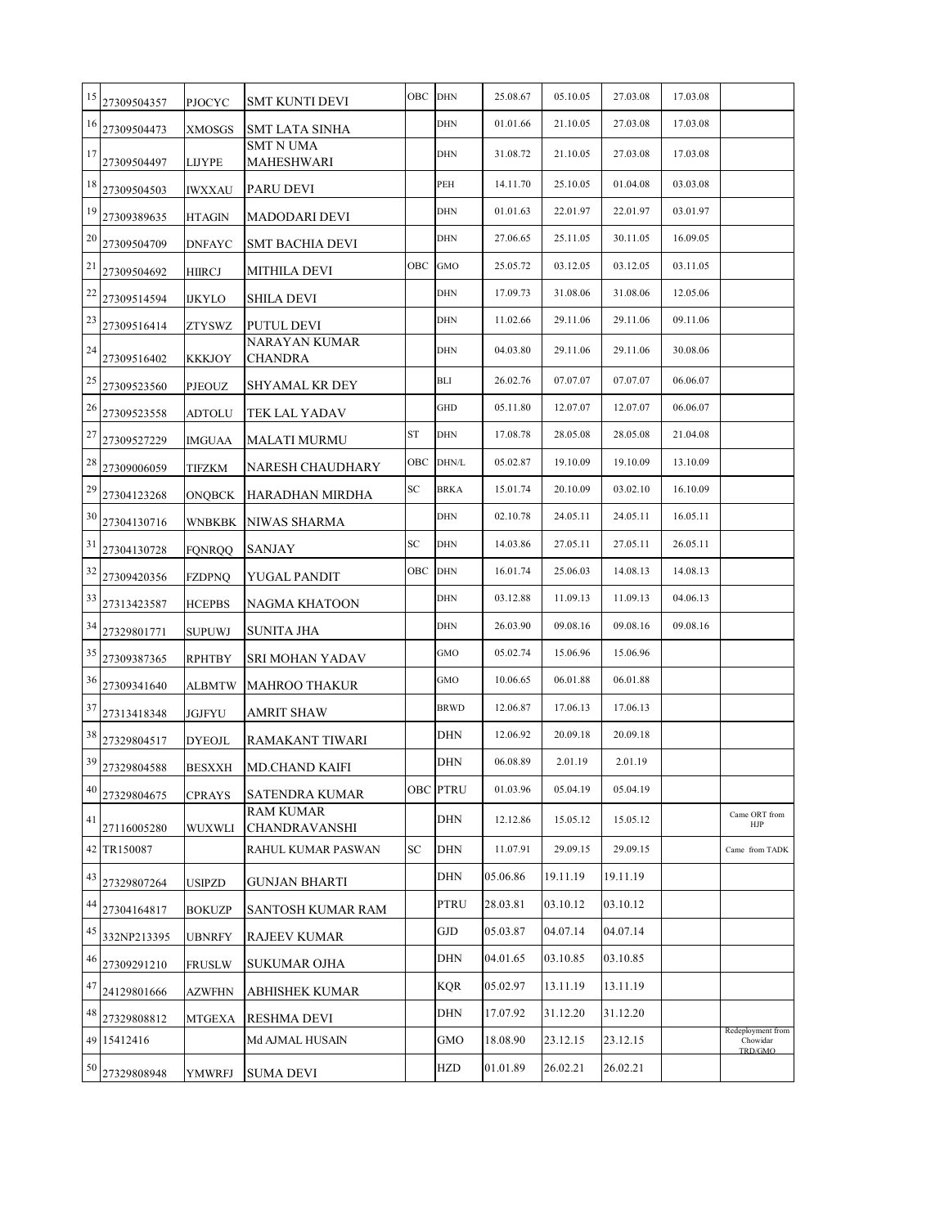| 15 | 27309504357 | PJOCYC        | SMT KUNTI DEVI                    | OBC | <b>DHN</b>  | 25.08.67 | 05.10.05 | 27.03.08 | 17.03.08 |                                          |
|----|-------------|---------------|-----------------------------------|-----|-------------|----------|----------|----------|----------|------------------------------------------|
| 16 | 27309504473 | XMOSGS        | SMT LATA SINHA                    |     | <b>DHN</b>  | 01.01.66 | 21.10.05 | 27.03.08 | 17.03.08 |                                          |
| 17 | 27309504497 | <b>LIJYPE</b> | <b>SMT N UMA</b><br>MAHESHWARI    |     | <b>DHN</b>  | 31.08.72 | 21.10.05 | 27.03.08 | 17.03.08 |                                          |
| 18 | 27309504503 | <b>IWXXAU</b> | PARU DEVI                         |     | PEH         | 14.11.70 | 25.10.05 | 01.04.08 | 03.03.08 |                                          |
| 19 | 27309389635 | <b>HTAGIN</b> | <b>MADODARI DEVI</b>              |     | <b>DHN</b>  | 01.01.63 | 22.01.97 | 22.01.97 | 03.01.97 |                                          |
| 20 | 27309504709 | <b>DNFAYC</b> | SMT BACHIA DEVI                   |     | DHN         | 27.06.65 | 25.11.05 | 30.11.05 | 16.09.05 |                                          |
| 21 | 27309504692 | <b>HIIRCJ</b> | MITHILA DEVI                      | OBC | <b>GMO</b>  | 25.05.72 | 03.12.05 | 03.12.05 | 03.11.05 |                                          |
| 22 | 27309514594 | <b>IJKYLO</b> | <b>SHILA DEVI</b>                 |     | DHN         | 17.09.73 | 31.08.06 | 31.08.06 | 12.05.06 |                                          |
| 23 | 27309516414 | ZTYSWZ        | PUTUL DEVI                        |     | DHN         | 11.02.66 | 29.11.06 | 29.11.06 | 09.11.06 |                                          |
| 24 | 27309516402 | KKKJOY        | NARAYAN KUMAR<br>CHANDRA          |     | DHN         | 04.03.80 | 29.11.06 | 29.11.06 | 30.08.06 |                                          |
| 25 | 27309523560 | PJEOUZ        | <b>SHYAMAL KR DEY</b>             |     | BLI         | 26.02.76 | 07.07.07 | 07.07.07 | 06.06.07 |                                          |
| 26 | 27309523558 | <b>ADTOLU</b> | TEK LAL YADAV                     |     | GHD         | 05.11.80 | 12.07.07 | 12.07.07 | 06.06.07 |                                          |
| 27 | 27309527229 | <b>IMGUAA</b> | <b>MALATI MURMU</b>               | ST  | DHN         | 17.08.78 | 28.05.08 | 28.05.08 | 21.04.08 |                                          |
| 28 | 27309006059 | TIFZKM        | NARESH CHAUDHARY                  | OBC | DHN/L       | 05.02.87 | 19.10.09 | 19.10.09 | 13.10.09 |                                          |
| 29 | 27304123268 | <b>ONQBCK</b> | HARADHAN MIRDHA                   | SC  | <b>BRKA</b> | 15.01.74 | 20.10.09 | 03.02.10 | 16.10.09 |                                          |
| 30 | 27304130716 | <b>WNBKBK</b> | NIWAS SHARMA                      |     | DHN         | 02.10.78 | 24.05.11 | 24.05.11 | 16.05.11 |                                          |
| 31 | 27304130728 | <b>FONROQ</b> | <b>SANJAY</b>                     | SC  | <b>DHN</b>  | 14.03.86 | 27.05.11 | 27.05.11 | 26.05.11 |                                          |
| 32 | 27309420356 | FZDPNQ        | YUGAL PANDIT                      | OBC | DHN         | 16.01.74 | 25.06.03 | 14.08.13 | 14.08.13 |                                          |
| 33 | 27313423587 | <b>HCEPBS</b> | NAGMA KHATOON                     |     | DHN         | 03.12.88 | 11.09.13 | 11.09.13 | 04.06.13 |                                          |
| 34 | 27329801771 | <b>SUPUWJ</b> | SUNITA JHA                        |     | <b>DHN</b>  | 26.03.90 | 09.08.16 | 09.08.16 | 09.08.16 |                                          |
| 35 | 27309387365 | <b>RPHTBY</b> | SRI MOHAN YADAV                   |     | GMO         | 05.02.74 | 15.06.96 | 15.06.96 |          |                                          |
| 36 | 27309341640 | ALBMTW        | <b>MAHROO THAKUR</b>              |     | GMO         | 10.06.65 | 06.01.88 | 06.01.88 |          |                                          |
| 37 | 27313418348 | JGJFYU        | AMRIT SHAW                        |     | <b>BRWD</b> | 12.06.87 | 17.06.13 | 17.06.13 |          |                                          |
| 38 | 27329804517 | DYEOJL        | RAMAKANT TIWARI                   |     | DHN         | 12.06.92 | 20.09.18 | 20.09.18 |          |                                          |
| 39 | 27329804588 | <b>BESXXH</b> | MD.CHAND KAIFI                    |     | <b>DHN</b>  | 06.08.89 | 2.01.19  | 2.01.19  |          |                                          |
| 40 | 27329804675 | <b>CPRAYS</b> | <b>SATENDRA KUMAR</b>             |     | OBC PTRU    | 01.03.96 | 05.04.19 | 05.04.19 |          |                                          |
| 41 | 27116005280 | WUXWLI        | <b>RAM KUMAR</b><br>CHANDRAVANSHI |     | DHN         | 12.12.86 | 15.05.12 | 15.05.12 |          | Came ORT from<br>HJP                     |
|    | 42 TR150087 |               | RAHUL KUMAR PASWAN                | SC  | DHN         | 11.07.91 | 29.09.15 | 29.09.15 |          | Came from TADK                           |
| 43 | 27329807264 | USIPZD        | <b>GUNJAN BHARTI</b>              |     | DHN         | 05.06.86 | 19.11.19 | 19.11.19 |          |                                          |
| 44 | 27304164817 | <b>BOKUZP</b> | SANTOSH KUMAR RAM                 |     | PTRU        | 28.03.81 | 03.10.12 | 03.10.12 |          |                                          |
| 45 | 332NP213395 | <b>UBNRFY</b> | RAJEEV KUMAR                      |     | GJD         | 05.03.87 | 04.07.14 | 04.07.14 |          |                                          |
| 46 | 27309291210 | FRUSLW        | SUKUMAR OJHA                      |     | DHN         | 04.01.65 | 03.10.85 | 03.10.85 |          |                                          |
| 47 | 24129801666 | AZWFHN        | <b>ABHISHEK KUMAR</b>             |     | KQR         | 05.02.97 | 13.11.19 | 13.11.19 |          |                                          |
| 48 | 27329808812 | MTGEXA        | <b>RESHMA DEVI</b>                |     | DHN         | 17.07.92 | 31.12.20 | 31.12.20 |          |                                          |
|    | 49 15412416 |               | Md AJMAL HUSAIN                   |     | GMO         | 18.08.90 | 23.12.15 | 23.12.15 |          | Redeployment from<br>Chowidar<br>TRD/GMO |
| 50 | 27329808948 | YMWRFJ        | <b>SUMA DEVI</b>                  |     | <b>HZD</b>  | 01.01.89 | 26.02.21 | 26.02.21 |          |                                          |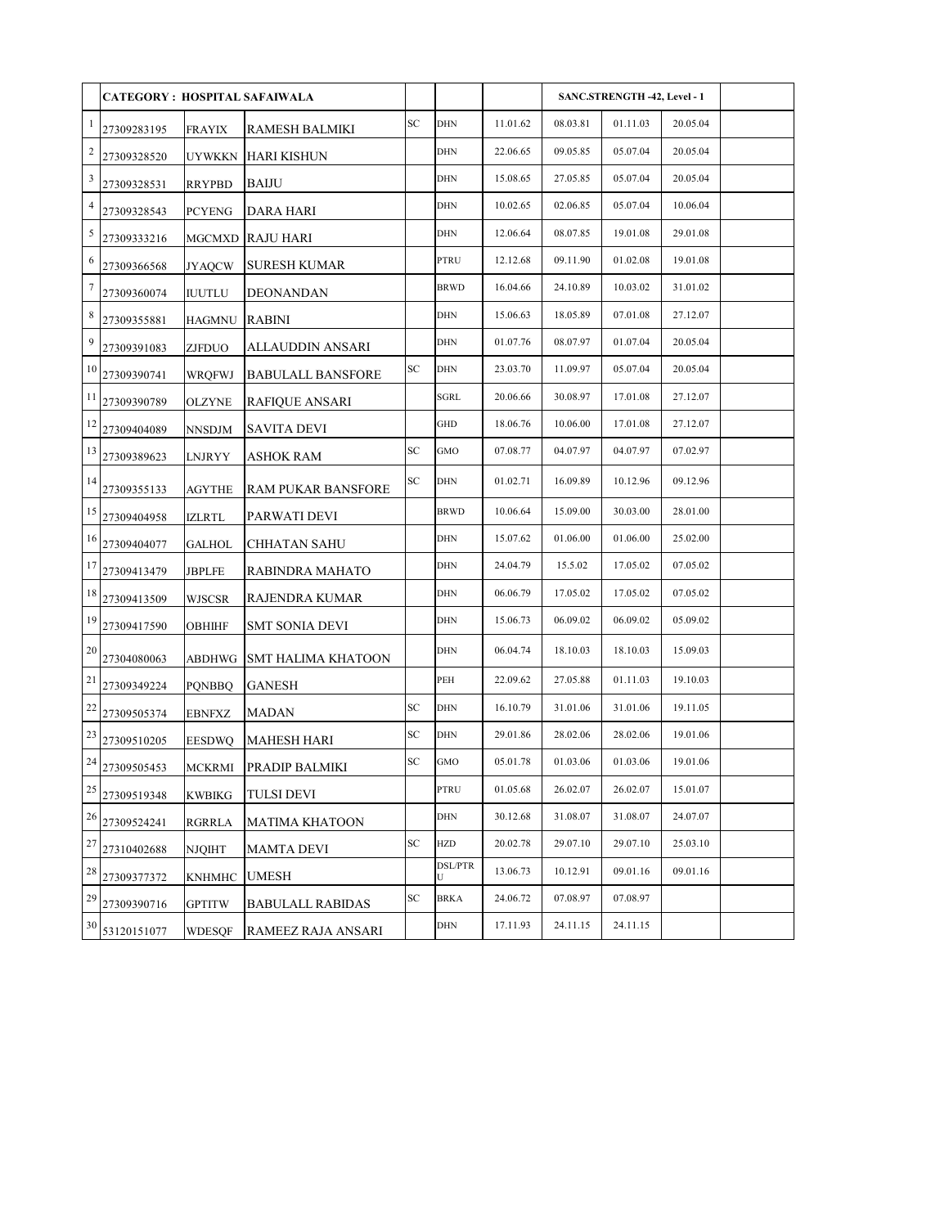|                | CATEGORY : HOSPITAL SAFAIWALA |               |                           |            |                     |          |          | SANC.STRENGTH -42, Level - 1 |          |  |
|----------------|-------------------------------|---------------|---------------------------|------------|---------------------|----------|----------|------------------------------|----------|--|
| 1              | 27309283195                   | <b>FRAYIX</b> | RAMESH BALMIKI            | SC         | <b>DHN</b>          | 11.01.62 | 08.03.81 | 01.11.03                     | 20.05.04 |  |
| $\overline{c}$ | 27309328520                   | <b>UYWKKN</b> | <b>HARI KISHUN</b>        |            | <b>DHN</b>          | 22.06.65 | 09.05.85 | 05.07.04                     | 20.05.04 |  |
| 3              | 27309328531                   | RRYPBD        | <b>BAIJU</b>              |            | DHN                 | 15.08.65 | 27.05.85 | 05.07.04                     | 20.05.04 |  |
| $\overline{4}$ | 27309328543                   | PCYENG        | DARA HARI                 |            | DHN                 | 10.02.65 | 02.06.85 | 05.07.04                     | 10.06.04 |  |
| 5              | 27309333216                   |               | MGCMXD RAJU HARI          |            | DHN                 | 12.06.64 | 08.07.85 | 19.01.08                     | 29.01.08 |  |
| 6              | 27309366568                   | <b>JYAOCW</b> | <b>SURESH KUMAR</b>       |            | PTRU                | 12.12.68 | 09.11.90 | 01.02.08                     | 19.01.08 |  |
| 7              | 27309360074                   | <b>IUUTLU</b> | <b>DEONANDAN</b>          |            | <b>BRWD</b>         | 16.04.66 | 24.10.89 | 10.03.02                     | 31.01.02 |  |
| 8              | 27309355881                   | <b>HAGMNU</b> | RABINI                    |            | DHN                 | 15.06.63 | 18.05.89 | 07.01.08                     | 27.12.07 |  |
| 9              | 27309391083                   | ZJFDUO        | ALLAUDDIN ANSARI          |            | <b>DHN</b>          | 01.07.76 | 08.07.97 | 01.07.04                     | 20.05.04 |  |
| 10             | 27309390741                   | <b>WRQFWJ</b> | <b>BABULALL BANSFORE</b>  | SC         | <b>DHN</b>          | 23.03.70 | 11.09.97 | 05.07.04                     | 20.05.04 |  |
| 11             | 27309390789                   | OLZYNE        | RAFIQUE ANSARI            |            | SGRL                | 20.06.66 | 30.08.97 | 17.01.08                     | 27.12.07 |  |
| 12             | 27309404089                   | <b>NNSDJM</b> | SAVITA DEVI               |            | GHD                 | 18.06.76 | 10.06.00 | 17.01.08                     | 27.12.07 |  |
| 13             | 27309389623                   | LNJRYY        | ASHOK RAM                 | SC         | <b>GMO</b>          | 07.08.77 | 04.07.97 | 04.07.97                     | 07.02.97 |  |
| 14             | 27309355133                   | AGYTHE        | <b>RAM PUKAR BANSFORE</b> | SC         | DHN                 | 01.02.71 | 16.09.89 | 10.12.96                     | 09.12.96 |  |
| 15             | 27309404958                   | <b>IZLRTL</b> | PARWATI DEVI              |            | BRWD                | 10.06.64 | 15.09.00 | 30.03.00                     | 28.01.00 |  |
| 16             | 27309404077                   | <b>GALHOL</b> | CHHATAN SAHU              |            | DHN                 | 15.07.62 | 01.06.00 | 01.06.00                     | 25.02.00 |  |
| 17             | 27309413479                   | <b>JBPLFE</b> | RABINDRA MAHATO           |            | DHN                 | 24.04.79 | 15.5.02  | 17.05.02                     | 07.05.02 |  |
| 18             | 27309413509                   | <b>WJSCSR</b> | RAJENDRA KUMAR            |            | DHN                 | 06.06.79 | 17.05.02 | 17.05.02                     | 07.05.02 |  |
| 19             | 27309417590                   | <b>OBHIHF</b> | SMT SONIA DEVI            |            | DHN                 | 15.06.73 | 06.09.02 | 06.09.02                     | 05.09.02 |  |
| 20             | 27304080063                   | ABDHWG        | <b>SMT HALIMA KHATOON</b> |            | DHN                 | 06.04.74 | 18.10.03 | 18.10.03                     | 15.09.03 |  |
| 21             | 27309349224                   | PQNBBQ        | GANESH                    |            | PEH                 | 22.09.62 | 27.05.88 | 01.11.03                     | 19.10.03 |  |
| 22             | 27309505374                   | <b>EBNFXZ</b> | MADAN                     | SC         | <b>DHN</b>          | 16.10.79 | 31.01.06 | 31.01.06                     | 19.11.05 |  |
| 23             | 27309510205                   | EESDWQ        | <b>MAHESH HARI</b>        | SC         | <b>DHN</b>          | 29.01.86 | 28.02.06 | 28.02.06                     | 19.01.06 |  |
| 24             | 27309505453                   | MCKRMI        | <b>PRADIP BALMIKI</b>     | SC         | <b>GMO</b>          | 05.01.78 | 01.03.06 | 01.03.06                     | 19.01.06 |  |
| 25             | 27309519348                   | <b>KWBIKG</b> | <b>TULSI DEVI</b>         |            | PTRU                | 01.05.68 | 26.02.07 | 26.02.07                     | 15.01.07 |  |
| 26             | 27309524241                   | <b>RGRRLA</b> | <b>MATIMA KHATOON</b>     |            | DHN                 | 30.12.68 | 31.08.07 | 31.08.07                     | 24.07.07 |  |
| 27             | 27310402688                   | NJQIHT        | <b>MAMTA DEVI</b>         | ${\rm SC}$ | <b>HZD</b>          | 20.02.78 | 29.07.10 | 29.07.10                     | 25.03.10 |  |
| 28             | 27309377372                   | <b>KNHMHC</b> | <b>UMESH</b>              |            | <b>DSL/PTR</b><br>U | 13.06.73 | 10.12.91 | 09.01.16                     | 09.01.16 |  |
| 29             | 27309390716                   | <b>GPTITW</b> | <b>BABULALL RABIDAS</b>   | ${\rm SC}$ | <b>BRKA</b>         | 24.06.72 | 07.08.97 | 07.08.97                     |          |  |
| 30             | 53120151077                   | <b>WDESQF</b> | RAMEEZ RAJA ANSARI        |            | <b>DHN</b>          | 17.11.93 | 24.11.15 | 24.11.15                     |          |  |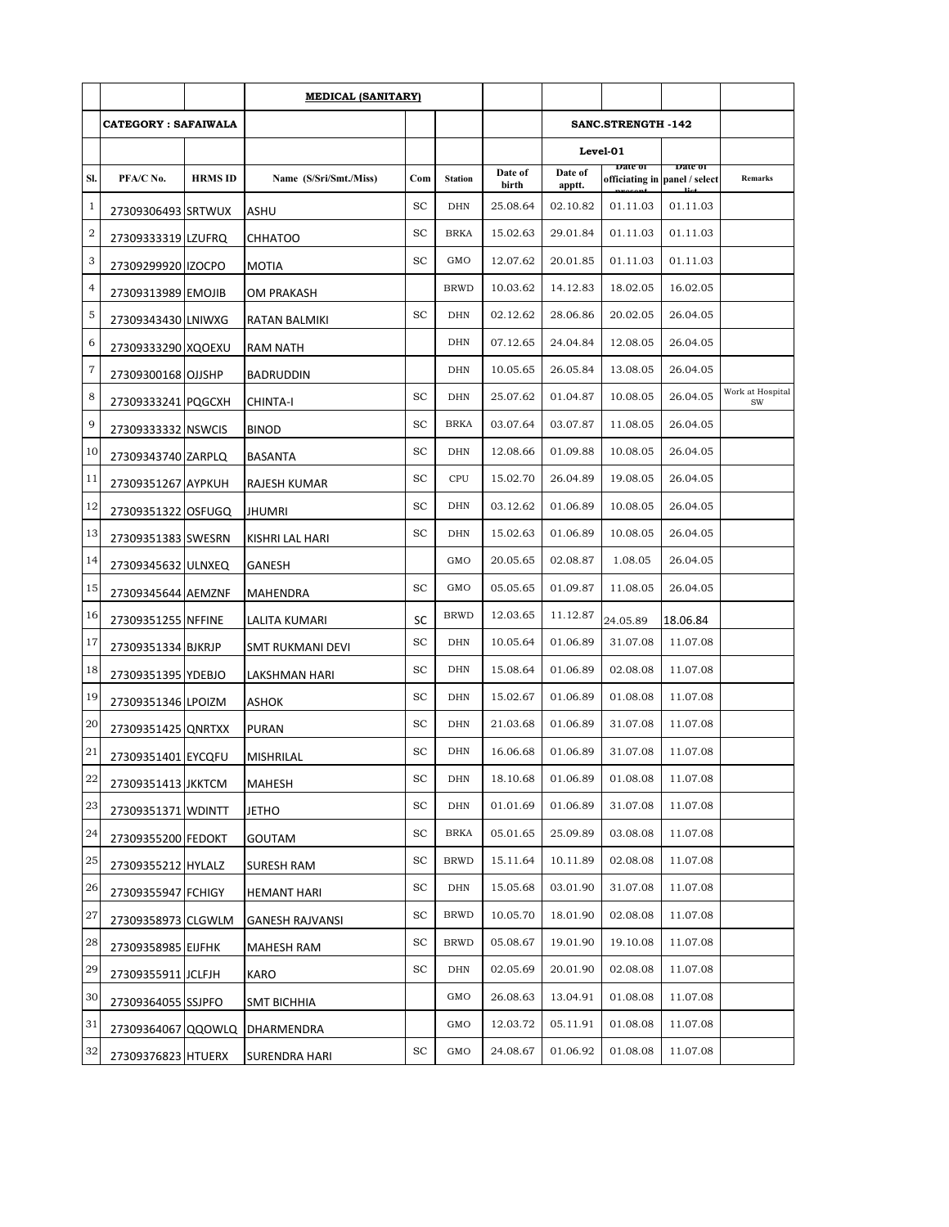|                  |                            |                | <b>MEDICAL (SANITARY)</b>     |           |                |                  |                   |                    |                                                 |                               |
|------------------|----------------------------|----------------|-------------------------------|-----------|----------------|------------------|-------------------|--------------------|-------------------------------------------------|-------------------------------|
|                  | <b>CATEGORY: SAFAIWALA</b> |                |                               |           |                |                  |                   | SANC.STRENGTH -142 |                                                 |                               |
|                  |                            |                |                               |           |                |                  |                   | Level-01           |                                                 |                               |
| Sl.              | PFA/C No.                  | <b>HRMS ID</b> | Name (S/Sri/Smt./Miss)        | Com       | <b>Station</b> | Date of<br>birth | Date of<br>apptt. | <b>Date of</b>     | <b>Date of</b><br>officiating in panel / select | <b>Remarks</b>                |
| $\mathbf{1}$     | 27309306493 SRTWUX         |                | ASHU                          | SC        | DHN            | 25.08.64         | 02.10.82          | 01.11.03           | 01.11.03                                        |                               |
| $\boldsymbol{2}$ | 27309333319 LZUFRQ         |                | <b>CHHATOO</b>                | SC        | <b>BRKA</b>    | 15.02.63         | 29.01.84          | 01.11.03           | 01.11.03                                        |                               |
| 3                | 27309299920 IZOCPO         |                | <b>MOTIA</b>                  | SC        | GMO            | 12.07.62         | 20.01.85          | 01.11.03           | 01.11.03                                        |                               |
| 4                | 27309313989 EMOJIB         |                | OM PRAKASH                    |           | <b>BRWD</b>    | 10.03.62         | 14.12.83          | 18.02.05           | 16.02.05                                        |                               |
| 5                | 27309343430 LNIWXG         |                | RATAN BALMIKI                 | SC        | DHN            | 02.12.62         | 28.06.86          | 20.02.05           | 26.04.05                                        |                               |
| 6                | 27309333290 XQOEXU         |                | RAM NATH                      |           | DHN            | 07.12.65         | 24.04.84          | 12.08.05           | 26.04.05                                        |                               |
| 7                | 27309300168 OJJSHP         |                | <b>BADRUDDIN</b>              |           | DHN            | 10.05.65         | 26.05.84          | 13.08.05           | 26.04.05                                        |                               |
| 8                | 27309333241 PQGCXH         |                | CHINTA-I                      | SC        | DHN            | 25.07.62         | 01.04.87          | 10.08.05           | 26.04.05                                        | Work at Hospital<br><b>SW</b> |
| 9                | 27309333332 NSWCIS         |                | <b>BINOD</b>                  | SC        | <b>BRKA</b>    | 03.07.64         | 03.07.87          | 11.08.05           | 26.04.05                                        |                               |
| 10               | 27309343740 ZARPLQ         |                | BASANTA                       | SC        | <b>DHN</b>     | 12.08.66         | 01.09.88          | 10.08.05           | 26.04.05                                        |                               |
| 11               | 27309351267 AYPKUH         |                | RAJESH KUMAR                  | SC        | CPU            | 15.02.70         | 26.04.89          | 19.08.05           | 26.04.05                                        |                               |
| 12               | 27309351322 OSFUGQ         |                | JHUMRI                        | SC        | DHN            | 03.12.62         | 01.06.89          | 10.08.05           | 26.04.05                                        |                               |
| 13               | 27309351383 SWESRN         |                | KISHRI LAL HARI               | SC        | DHN            | 15.02.63         | 01.06.89          | 10.08.05           | 26.04.05                                        |                               |
| 14               | 27309345632 ULNXEQ         |                | GANESH                        |           | GMO            | 20.05.65         | 02.08.87          | 1.08.05            | 26.04.05                                        |                               |
| 15               | 27309345644 AEMZNF         |                | MAHENDRA                      | SC        | GMO            | 05.05.65         | 01.09.87          | 11.08.05           | 26.04.05                                        |                               |
| 16               | 27309351255 NFFINE         |                | LALITA KUMARI                 | SC        | <b>BRWD</b>    | 12.03.65         | 11.12.87          | 24.05.89           | 18.06.84                                        |                               |
| 17               | 27309351334 BJKRJP         |                | SMT RUKMANI DEVI              | SC        | DHN            | 10.05.64         | 01.06.89          | 31.07.08           | 11.07.08                                        |                               |
| 18               | 27309351395 YDEBJO         |                | LAKSHMAN HARI                 | SC        | DHN            | 15.08.64         | 01.06.89          | 02.08.08           | 11.07.08                                        |                               |
| 19               | 27309351346 LPOIZM         |                | <b>ASHOK</b>                  | SC.       | DHN            | 15.02.67         | 01.06.89          | 01.08.08           | 11.07.08                                        |                               |
| 20               | 27309351425 QNRTXX         |                | <b>PURAN</b>                  | <b>SC</b> | DHN            | 21.03.68         | 01.06.89          | 31.07.08           | 11.07.08                                        |                               |
| 21               | 27309351401 EYCQFU         |                | <b>MISHRILAL</b>              | SC.       | DHN            | 16.06.68         | 01.06.89          | 31.07.08           | 11.07.08                                        |                               |
| $\sqrt{22}$      | 27309351413 JKKTCM         |                | MAHESH                        | SC        | DHN            | 18.10.68         | 01.06.89          | 01.08.08           | 11.07.08                                        |                               |
| 23               | 27309351371 WDINTT         |                | JETHO                         | SC        | DHN            | 01.01.69         | 01.06.89          | 31.07.08           | 11.07.08                                        |                               |
| 24               | 27309355200 FEDOKT         |                | GOUTAM                        | SC        | <b>BRKA</b>    | 05.01.65         | 25.09.89          | 03.08.08           | 11.07.08                                        |                               |
| 25               | 27309355212 HYLALZ         |                | SURESH RAM                    | SC        | <b>BRWD</b>    | 15.11.64         | 10.11.89          | 02.08.08           | 11.07.08                                        |                               |
| 26               | 27309355947 FCHIGY         |                | <b>HEMANT HARI</b>            | SC        | DHN            | 15.05.68         | 03.01.90          | 31.07.08           | 11.07.08                                        |                               |
| $\sqrt{27}$      | 27309358973 CLGWLM         |                | GANESH RAJVANSI               | SC        | <b>BRWD</b>    | 10.05.70         | 18.01.90          | 02.08.08           | 11.07.08                                        |                               |
| 28               | 27309358985 EIJFHK         |                | MAHESH RAM                    | SC        | <b>BRWD</b>    | 05.08.67         | 19.01.90          | 19.10.08           | 11.07.08                                        |                               |
| 29               | 27309355911 JCLFJH         |                | KARO                          | SC        | DHN            | 02.05.69         | 20.01.90          | 02.08.08           | 11.07.08                                        |                               |
| 30               | 27309364055 SSJPFO         |                | <b>SMT BICHHIA</b>            |           | GMO            | 26.08.63         | 13.04.91          | 01.08.08           | 11.07.08                                        |                               |
| 31               |                            |                | 27309364067 QQOWLQ DHARMENDRA |           | GMO            | 12.03.72         | 05.11.91          | 01.08.08           | 11.07.08                                        |                               |
| 32               | 27309376823 HTUERX         |                | <b>SURENDRA HARI</b>          | SC        | GMO            | 24.08.67         | 01.06.92          | 01.08.08           | 11.07.08                                        |                               |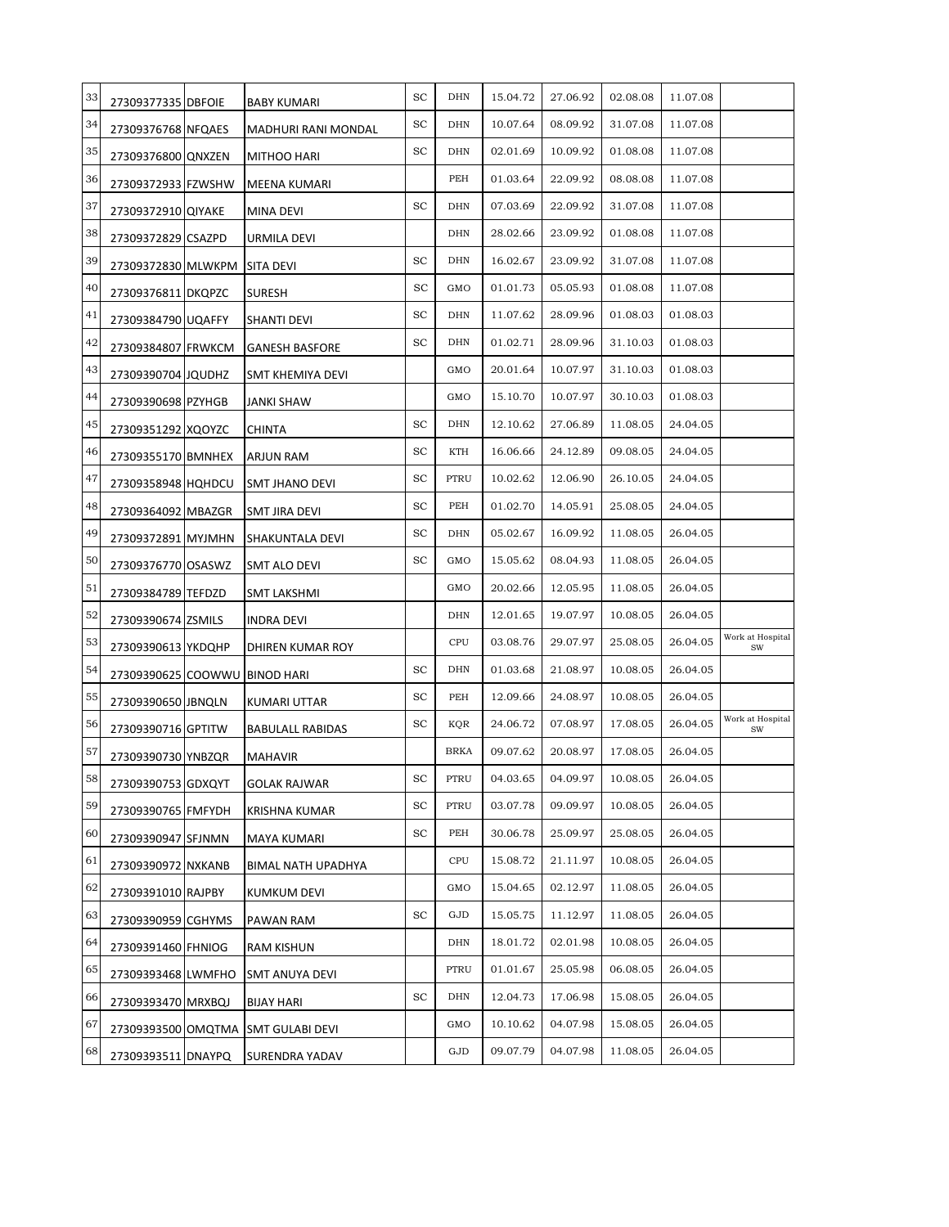| 33 | 27309377335 DBFOIE            | <b>BABY KUMARI</b>                 | SC | DHN         | 15.04.72 | 27.06.92 | 02.08.08 | 11.07.08 |                                   |
|----|-------------------------------|------------------------------------|----|-------------|----------|----------|----------|----------|-----------------------------------|
| 34 | 27309376768 NFQAES            | MADHURI RANI MONDAL                | SC | DHN         | 10.07.64 | 08.09.92 | 31.07.08 | 11.07.08 |                                   |
| 35 | 27309376800 QNXZEN            | MITHOO HARI                        | SC | DHN         | 02.01.69 | 10.09.92 | 01.08.08 | 11.07.08 |                                   |
| 36 | 27309372933 FZWSHW            | MEENA KUMARI                       |    | PEH         | 01.03.64 | 22.09.92 | 08.08.08 | 11.07.08 |                                   |
| 37 | 27309372910 QIYAKE            | MINA DEVI                          | SC | DHN         | 07.03.69 | 22.09.92 | 31.07.08 | 11.07.08 |                                   |
| 38 | 27309372829 CSAZPD            | URMILA DEVI                        |    | DHN         | 28.02.66 | 23.09.92 | 01.08.08 | 11.07.08 |                                   |
| 39 | 27309372830 MLWKPM            | <b>SITA DEVI</b>                   | SC | DHN         | 16.02.67 | 23.09.92 | 31.07.08 | 11.07.08 |                                   |
| 40 | 27309376811 DKQPZC            | <b>SURESH</b>                      | SC | GMO         | 01.01.73 | 05.05.93 | 01.08.08 | 11.07.08 |                                   |
| 41 | 27309384790 UQAFFY            | SHANTI DEVI                        | SC | DHN         | 11.07.62 | 28.09.96 | 01.08.03 | 01.08.03 |                                   |
| 42 | 27309384807 FRWKCM            | <b>GANESH BASFORE</b>              | SC | DHN         | 01.02.71 | 28.09.96 | 31.10.03 | 01.08.03 |                                   |
| 43 | 27309390704 JQUDHZ            | SMT KHEMIYA DEVI                   |    | GMO         | 20.01.64 | 10.07.97 | 31.10.03 | 01.08.03 |                                   |
| 44 | 27309390698 PZYHGB            | <b>JANKI SHAW</b>                  |    | GMO         | 15.10.70 | 10.07.97 | 30.10.03 | 01.08.03 |                                   |
| 45 | 27309351292 XQOYZC            | CHINTA                             | SC | DHN         | 12.10.62 | 27.06.89 | 11.08.05 | 24.04.05 |                                   |
| 46 | 27309355170 BMNHEX            | <b>ARJUN RAM</b>                   | SC | KTH         | 16.06.66 | 24.12.89 | 09.08.05 | 24.04.05 |                                   |
| 47 | 27309358948 HQHDCU            | SMT JHANO DEVI                     | SC | PTRU        | 10.02.62 | 12.06.90 | 26.10.05 | 24.04.05 |                                   |
| 48 | 27309364092 MBAZGR            | SMT JIRA DEVI                      | SC | PEH         | 01.02.70 | 14.05.91 | 25.08.05 | 24.04.05 |                                   |
| 49 | 27309372891 MYJMHN            | SHAKUNTALA DEVI                    | SC | DHN         | 05.02.67 | 16.09.92 | 11.08.05 | 26.04.05 |                                   |
| 50 | 27309376770 OSASWZ            | SMT ALO DEVI                       | SC | GMO         | 15.05.62 | 08.04.93 | 11.08.05 | 26.04.05 |                                   |
| 51 | 27309384789 TEFDZD            | SMT LAKSHMI                        |    | GMO         | 20.02.66 | 12.05.95 | 11.08.05 | 26.04.05 |                                   |
| 52 | 27309390674 ZSMILS            | INDRA DEVI                         |    | DHN         | 12.01.65 | 19.07.97 | 10.08.05 | 26.04.05 |                                   |
| 53 | 27309390613 YKDQHP            | DHIREN KUMAR ROY                   |    | CPU         | 03.08.76 | 29.07.97 | 25.08.05 | 26.04.05 | Work at Hospital<br><b>SW</b>     |
| 54 | 27309390625 COOWWU BINOD HARI |                                    | SC | DHN         | 01.03.68 | 21.08.97 | 10.08.05 | 26.04.05 |                                   |
| 55 | 27309390650 JBNQLN            | KUMARI UTTAR                       | SC | PEH         | 12.09.66 | 24.08.97 | 10.08.05 | 26.04.05 |                                   |
| 56 | 27309390716 GPTITW            | <b>BABULALL RABIDAS</b>            | SC | KQR         | 24.06.72 | 07.08.97 | 17.08.05 | 26.04.05 | Work at Hospital<br>$\mathrm{SW}$ |
| 57 | 27309390730 YNBZQR            | <b>MAHAVIR</b>                     |    | <b>BRKA</b> | 09.07.62 | 20.08.97 | 17.08.05 | 26.04.05 |                                   |
| 58 | 27309390753 GDXQYT            | <b>GOLAK RAJWAR</b>                | SC | PTRU        | 04.03.65 | 04.09.97 | 10.08.05 | 26.04.05 |                                   |
| 59 | 27309390765 FMFYDH            | KRISHNA KUMAR                      | SC | PTRU        | 03.07.78 | 09.09.97 | 10.08.05 | 26.04.05 |                                   |
| 60 | 27309390947 SFJNMN            | <b>MAYA KUMARI</b>                 | SC | PEH         | 30.06.78 | 25.09.97 | 25.08.05 | 26.04.05 |                                   |
| 61 | 27309390972 NXKANB            | BIMAL NATH UPADHYA                 |    | CPU         | 15.08.72 | 21.11.97 | 10.08.05 | 26.04.05 |                                   |
| 62 | 27309391010 RAJPBY            | KUMKUM DEVI                        |    | GMO         | 15.04.65 | 02.12.97 | 11.08.05 | 26.04.05 |                                   |
| 63 | 27309390959 CGHYMS            | PAWAN RAM                          | SC | GJD         | 15.05.75 | 11.12.97 | 11.08.05 | 26.04.05 |                                   |
| 64 | 27309391460 FHNIOG            | RAM KISHUN                         |    | DHN         | 18.01.72 | 02.01.98 | 10.08.05 | 26.04.05 |                                   |
| 65 | 27309393468 LWMFHO            | SMT ANUYA DEVI                     |    | PTRU        | 01.01.67 | 25.05.98 | 06.08.05 | 26.04.05 |                                   |
| 66 | 27309393470 MRXBQJ            | <b>BIJAY HARI</b>                  | SC | DHN         | 12.04.73 | 17.06.98 | 15.08.05 | 26.04.05 |                                   |
| 67 |                               | 27309393500 OMQTMA SMT GULABI DEVI |    | GMO         | 10.10.62 | 04.07.98 | 15.08.05 | 26.04.05 |                                   |
| 68 | 27309393511 DNAYPQ            | <b>SURENDRA YADAV</b>              |    | GJD         | 09.07.79 | 04.07.98 | 11.08.05 | 26.04.05 |                                   |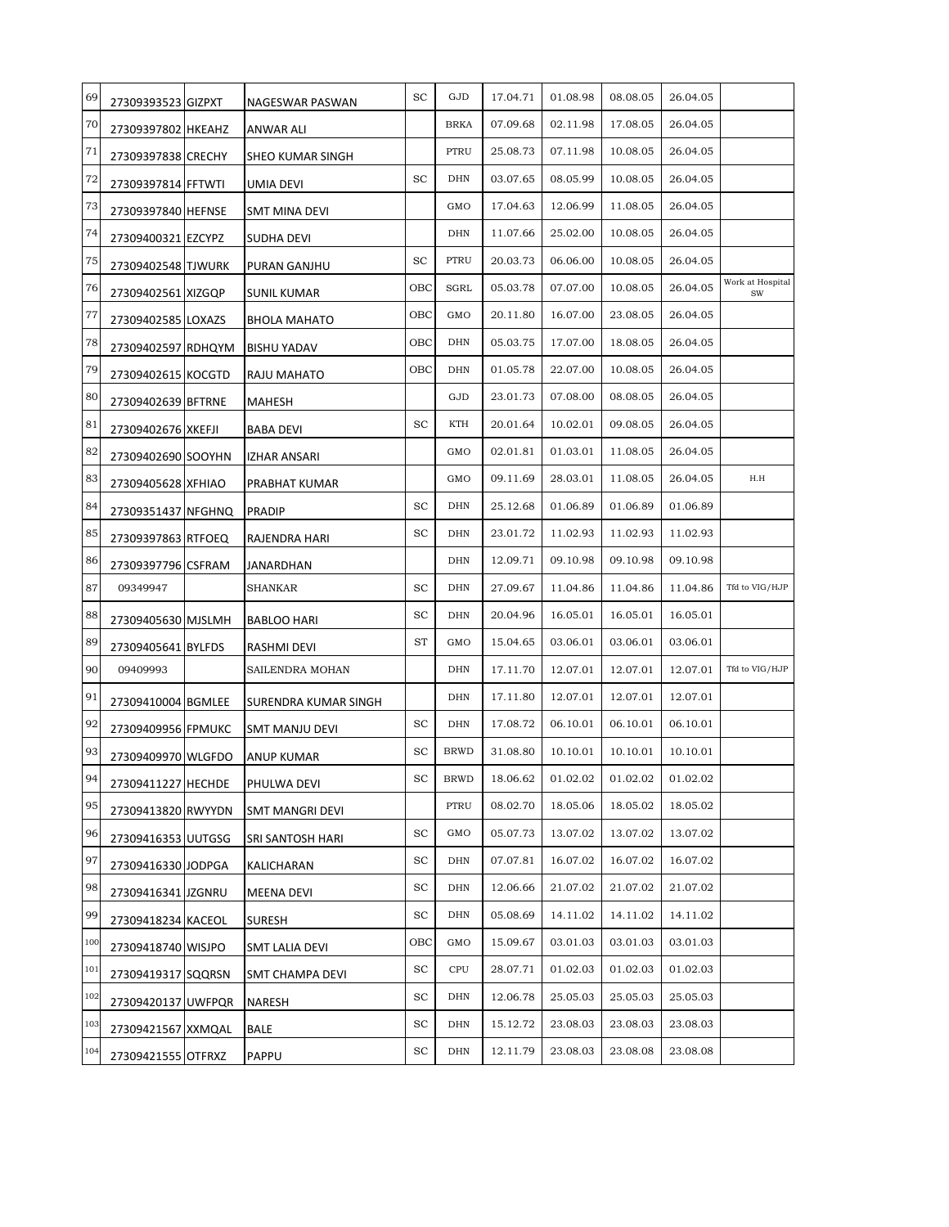| 69  | 27309393523 GIZPXT | NAGESWAR PASWAN      | SC        | GJD         | 17.04.71 | 01.08.98 | 08.08.05 | 26.04.05 |                                   |
|-----|--------------------|----------------------|-----------|-------------|----------|----------|----------|----------|-----------------------------------|
| 70  | 27309397802 HKEAHZ | ANWAR ALI            |           | <b>BRKA</b> | 07.09.68 | 02.11.98 | 17.08.05 | 26.04.05 |                                   |
| 71  | 27309397838 CRECHY | SHEO KUMAR SINGH     |           | PTRU        | 25.08.73 | 07.11.98 | 10.08.05 | 26.04.05 |                                   |
| 72  | 27309397814 FFTWTI | UMIA DEVI            | SC        | DHN         | 03.07.65 | 08.05.99 | 10.08.05 | 26.04.05 |                                   |
| 73  | 27309397840 HEFNSE | SMT MINA DEVI        |           | GMO         | 17.04.63 | 12.06.99 | 11.08.05 | 26.04.05 |                                   |
| 74  | 27309400321 EZCYPZ | SUDHA DEVI           |           | DHN         | 11.07.66 | 25.02.00 | 10.08.05 | 26.04.05 |                                   |
| 75  | 27309402548 TJWURK | PURAN GANJHU         | SC        | PTRU        | 20.03.73 | 06.06.00 | 10.08.05 | 26.04.05 |                                   |
| 76  | 27309402561 XIZGQP | <b>SUNIL KUMAR</b>   | OBC       | SGRL        | 05.03.78 | 07.07.00 | 10.08.05 | 26.04.05 | Work at Hospital<br>$\mathrm{SW}$ |
| 77  | 27309402585 LOXAZS | <b>BHOLA MAHATO</b>  | OBC       | GMO         | 20.11.80 | 16.07.00 | 23.08.05 | 26.04.05 |                                   |
| 78  | 27309402597 RDHQYM | <b>BISHU YADAV</b>   | OBC       | DHN         | 05.03.75 | 17.07.00 | 18.08.05 | 26.04.05 |                                   |
| 79  | 27309402615 KOCGTD | RAJU MAHATO          | OBC       | DHN         | 01.05.78 | 22.07.00 | 10.08.05 | 26.04.05 |                                   |
| 80  | 27309402639 BFTRNE | MAHESH               |           | GJD         | 23.01.73 | 07.08.00 | 08.08.05 | 26.04.05 |                                   |
| 81  | 27309402676 XKEFJI | <b>BABA DEVI</b>     | SC        | <b>KTH</b>  | 20.01.64 | 10.02.01 | 09.08.05 | 26.04.05 |                                   |
| 82  | 27309402690 SOOYHN | IZHAR ANSARI         |           | GMO         | 02.01.81 | 01.03.01 | 11.08.05 | 26.04.05 |                                   |
| 83  | 27309405628 XFHIAO | PRABHAT KUMAR        |           | GMO         | 09.11.69 | 28.03.01 | 11.08.05 | 26.04.05 | H.H                               |
| 84  | 27309351437 NFGHNQ | <b>PRADIP</b>        | SC        | DHN         | 25.12.68 | 01.06.89 | 01.06.89 | 01.06.89 |                                   |
| 85  | 27309397863 RTFOEQ | RAJENDRA HARI        | SC        | DHN         | 23.01.72 | 11.02.93 | 11.02.93 | 11.02.93 |                                   |
| 86  | 27309397796 CSFRAM | JANARDHAN            |           | DHN         | 12.09.71 | 09.10.98 | 09.10.98 | 09.10.98 |                                   |
| 87  | 09349947           | SHANKAR              | SC        | DHN         | 27.09.67 | 11.04.86 | 11.04.86 | 11.04.86 | Tfd to VIG/HJP                    |
| 88  | 27309405630 MJSLMH | BABLOO HARI          | SC        | DHN         | 20.04.96 | 16.05.01 | 16.05.01 | 16.05.01 |                                   |
| 89  | 27309405641 BYLFDS | RASHMI DEVI          | <b>ST</b> | GMO         | 15.04.65 | 03.06.01 | 03.06.01 | 03.06.01 |                                   |
| 90  | 09409993           | SAILENDRA MOHAN      |           | DHN         | 17.11.70 | 12.07.01 | 12.07.01 | 12.07.01 | Tfd to VIG/HJP                    |
| 91  | 27309410004 BGMLEE | SURENDRA KUMAR SINGH |           | DHN         | 17.11.80 | 12.07.01 | 12.07.01 | 12.07.01 |                                   |
| 92  | 27309409956 FPMUKC | SMT MANJU DEVI       | SC        | DHN         | 17.08.72 | 06.10.01 | 06.10.01 | 06.10.01 |                                   |
| 93  | 27309409970 WLGFDO | <b>ANUP KUMAR</b>    | SC        | <b>BRWD</b> | 31.08.80 | 10.10.01 | 10.10.01 | 10.10.01 |                                   |
| 94  | 27309411227 HECHDE | PHULWA DEVI          | SC        | <b>BRWD</b> | 18.06.62 | 01.02.02 | 01.02.02 | 01.02.02 |                                   |
| 95  | 27309413820 RWYYDN | SMT MANGRI DEVI      |           | PTRU        | 08.02.70 | 18.05.06 | 18.05.02 | 18.05.02 |                                   |
| 96  | 27309416353 UUTGSG | SRI SANTOSH HARI     | SC        | GMO         | 05.07.73 | 13.07.02 | 13.07.02 | 13.07.02 |                                   |
| 97  | 27309416330 JODPGA | KALICHARAN           | SC        | DHN         | 07.07.81 | 16.07.02 | 16.07.02 | 16.07.02 |                                   |
| 98  | 27309416341 JZGNRU | MEENA DEVI           | SC        | DHN         | 12.06.66 | 21.07.02 | 21.07.02 | 21.07.02 |                                   |
| 99  | 27309418234 KACEOL | SURESH               | SC        | DHN         | 05.08.69 | 14.11.02 | 14.11.02 | 14.11.02 |                                   |
| 100 | 27309418740 WISJPO | SMT LALIA DEVI       | OBC       | GMO         | 15.09.67 | 03.01.03 | 03.01.03 | 03.01.03 |                                   |
| 101 | 27309419317 SQQRSN | SMT CHAMPA DEVI      | SC        | CPU         | 28.07.71 | 01.02.03 | 01.02.03 | 01.02.03 |                                   |
| 102 | 27309420137 UWFPQR | NARESH               | SC        | DHN         | 12.06.78 | 25.05.03 | 25.05.03 | 25.05.03 |                                   |
| 103 | 27309421567 XXMQAL | BALE                 | SC        | DHN         | 15.12.72 | 23.08.03 | 23.08.03 | 23.08.03 |                                   |
| 104 | 27309421555 OTFRXZ | <b>PAPPU</b>         | SC        | DHN         | 12.11.79 | 23.08.03 | 23.08.08 | 23.08.08 |                                   |